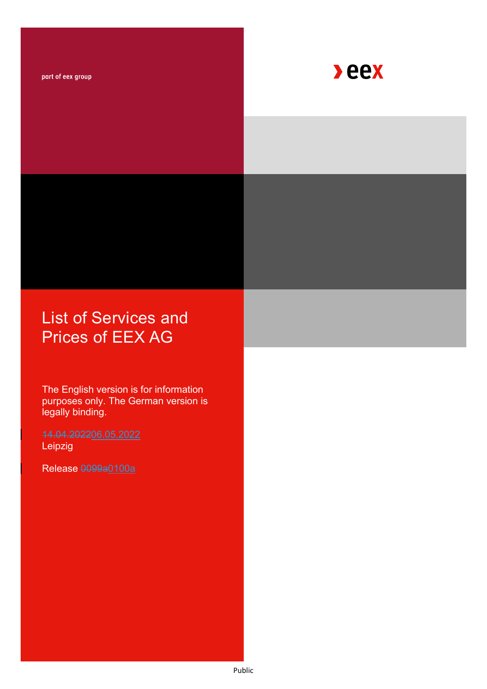part of eex group



# List of Services and Prices of EEX AG

The English version is for information purposes only. The German version is legally binding.

Leipzig

Release 0099a0100a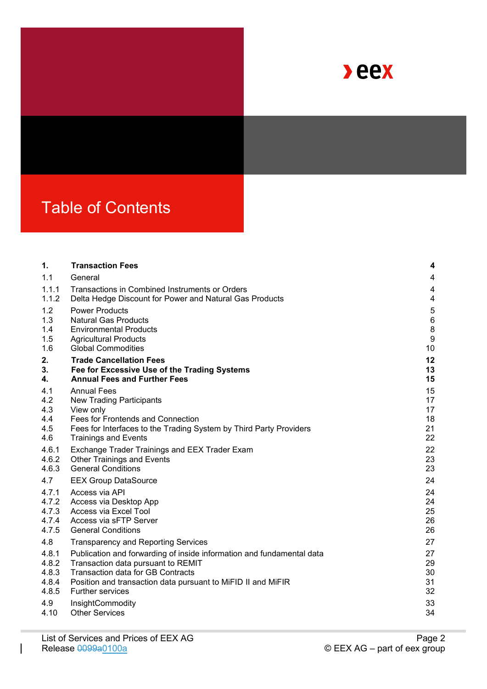

# Table of Contents

| 1.    | <b>Transaction Fees</b>                                               | 4                |
|-------|-----------------------------------------------------------------------|------------------|
| 1.1   | General                                                               | 4                |
| 1.1.1 | Transactions in Combined Instruments or Orders                        | 4                |
| 1.1.2 | Delta Hedge Discount for Power and Natural Gas Products               | 4                |
| 1.2   | <b>Power Products</b>                                                 | $\overline{5}$   |
| 1.3   | <b>Natural Gas Products</b>                                           | $\,6$            |
| 1.4   | <b>Environmental Products</b>                                         | $\bf 8$          |
| 1.5   | <b>Agricultural Products</b>                                          | $\boldsymbol{9}$ |
| 1.6   | <b>Global Commodities</b>                                             | 10               |
| 2.    | <b>Trade Cancellation Fees</b>                                        | 12               |
| 3.    | Fee for Excessive Use of the Trading Systems                          | 13               |
| 4.    | <b>Annual Fees and Further Fees</b>                                   | 15               |
| 4.1   | <b>Annual Fees</b>                                                    | 15               |
| 4.2   | <b>New Trading Participants</b>                                       | 17               |
| 4.3   | View only                                                             | 17               |
| 4.4   | Fees for Frontends and Connection                                     | 18               |
| 4.5   | Fees for Interfaces to the Trading System by Third Party Providers    | 21               |
| 4.6   | <b>Trainings and Events</b>                                           | 22               |
| 4.6.1 | Exchange Trader Trainings and EEX Trader Exam                         | 22               |
| 4.6.2 | <b>Other Trainings and Events</b>                                     | 23               |
| 4.6.3 | <b>General Conditions</b>                                             | 23               |
| 4.7   | <b>EEX Group DataSource</b>                                           | 24               |
| 4.7.1 | Access via API                                                        | 24               |
| 4.7.2 | Access via Desktop App                                                | 24               |
| 4.7.3 | Access via Excel Tool                                                 | 25               |
| 4.7.4 | Access via sFTP Server                                                | 26               |
| 4.7.5 | <b>General Conditions</b>                                             | 26               |
| 4.8   | <b>Transparency and Reporting Services</b>                            | 27               |
| 4.8.1 | Publication and forwarding of inside information and fundamental data | 27               |
| 4.8.2 | Transaction data pursuant to REMIT                                    | 29               |
| 4.8.3 | <b>Transaction data for GB Contracts</b>                              | 30               |
| 4.8.4 | Position and transaction data pursuant to MiFID II and MiFIR          | 31               |
| 4.8.5 | <b>Further services</b>                                               | 32               |
| 4.9   | InsightCommodity                                                      | 33               |
| 4.10  | <b>Other Services</b>                                                 | 34               |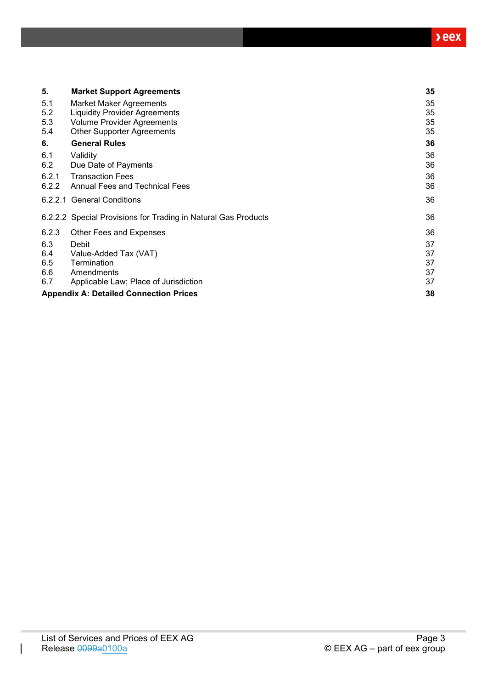| 5.    | <b>Market Support Agreements</b>                               | 35 |
|-------|----------------------------------------------------------------|----|
| 5.1   | <b>Market Maker Agreements</b>                                 | 35 |
| 5.2   | <b>Liquidity Provider Agreements</b>                           | 35 |
| 5.3   | <b>Volume Provider Agreements</b>                              | 35 |
| 5.4   | <b>Other Supporter Agreements</b>                              | 35 |
| 6.    | <b>General Rules</b>                                           | 36 |
| 6.1   | Validity                                                       | 36 |
| 6.2   | Due Date of Payments                                           | 36 |
| 6.2.1 | <b>Transaction Fees</b>                                        | 36 |
| 6.2.2 | Annual Fees and Technical Fees                                 | 36 |
|       | 6.2.2.1 General Conditions                                     | 36 |
|       | 6.2.2.2 Special Provisions for Trading in Natural Gas Products | 36 |
| 6.2.3 | Other Fees and Expenses                                        | 36 |
| 6.3   | Debit                                                          | 37 |
| 6.4   | Value-Added Tax (VAT)                                          | 37 |
| 6.5   | Termination                                                    | 37 |
| 6.6   | Amendments                                                     | 37 |
| 6.7   | Applicable Law; Place of Jurisdiction                          | 37 |
|       | <b>Appendix A: Detailed Connection Prices</b>                  | 38 |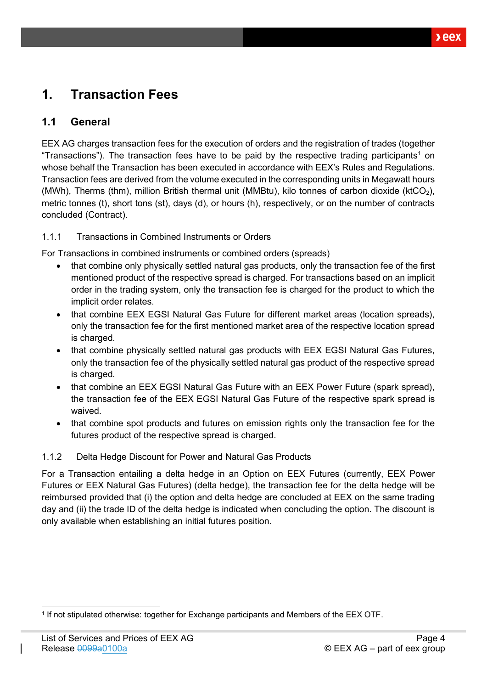# <span id="page-3-0"></span>**1. Transaction Fees**

# <span id="page-3-1"></span>**1.1 General**

EEX AG charges transaction fees for the execution of orders and the registration of trades (together "Transactions"). The transaction fees have to be paid by the respective trading participants<sup>1</sup> on whose behalf the Transaction has been executed in accordance with EEX's Rules and Regulations. Transaction fees are derived from the volume executed in the corresponding units in Megawatt hours (MWh), Therms (thm), million British thermal unit (MMBtu), kilo tonnes of carbon dioxide (ktCO2), metric tonnes (t), short tons (st), days (d), or hours (h), respectively, or on the number of contracts concluded (Contract).

### <span id="page-3-2"></span>1.1.1 Transactions in Combined Instruments or Orders

For Transactions in combined instruments or combined orders (spreads)

- that combine only physically settled natural gas products, only the transaction fee of the first mentioned product of the respective spread is charged. For transactions based on an implicit order in the trading system, only the transaction fee is charged for the product to which the implicit order relates.
- that combine EEX EGSI Natural Gas Future for different market areas (location spreads), only the transaction fee for the first mentioned market area of the respective location spread is charged.
- that combine physically settled natural gas products with EEX EGSI Natural Gas Futures, only the transaction fee of the physically settled natural gas product of the respective spread is charged.
- that combine an EEX EGSI Natural Gas Future with an EEX Power Future (spark spread), the transaction fee of the EEX EGSI Natural Gas Future of the respective spark spread is waived.
- that combine spot products and futures on emission rights only the transaction fee for the futures product of the respective spread is charged.

### <span id="page-3-3"></span>1.1.2 Delta Hedge Discount for Power and Natural Gas Products

For a Transaction entailing a delta hedge in an Option on EEX Futures (currently, EEX Power Futures or EEX Natural Gas Futures) (delta hedge), the transaction fee for the delta hedge will be reimbursed provided that (i) the option and delta hedge are concluded at EEX on the same trading day and (ii) the trade ID of the delta hedge is indicated when concluding the option. The discount is only available when establishing an initial futures position.

<sup>1</sup> If not stipulated otherwise: together for Exchange participants and Members of the EEX OTF.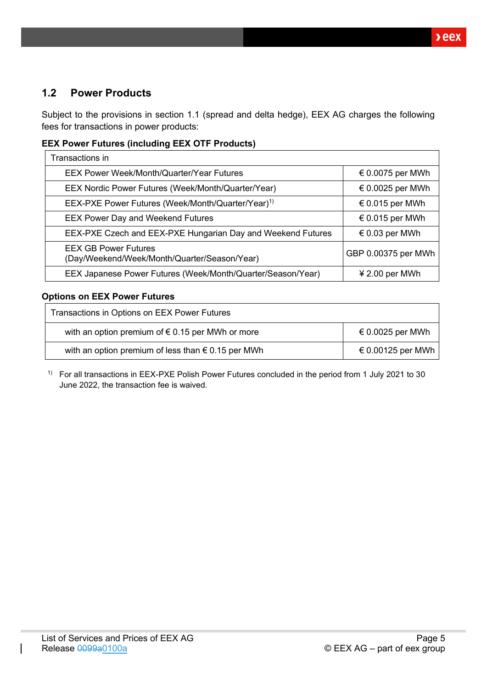# <span id="page-4-0"></span>**1.2 Power Products**

Subject to the provisions in section 1.1 (spread and delta hedge), EEX AG charges the following fees for transactions in power products:

### **EEX Power Futures (including EEX OTF Products)**

| Transactions in                                                             |                           |
|-----------------------------------------------------------------------------|---------------------------|
| EEX Power Week/Month/Quarter/Year Futures                                   | € 0.0075 per MWh          |
| EEX Nordic Power Futures (Week/Month/Quarter/Year)                          | $\epsilon$ 0.0025 per MWh |
| EEX-PXE Power Futures (Week/Month/Quarter/Year) <sup>1)</sup>               | € 0.015 per MWh           |
| <b>EEX Power Day and Weekend Futures</b>                                    | € 0.015 per MWh           |
| EEX-PXE Czech and EEX-PXE Hungarian Day and Weekend Futures                 | € 0.03 per MWh            |
| <b>EEX GB Power Futures</b><br>(Day/Weekend/Week/Month/Quarter/Season/Year) | GBP 0.00375 per MWh       |
| EEX Japanese Power Futures (Week/Month/Quarter/Season/Year)                 | $42.00$ per MWh           |

### **Options on EEX Power Futures**

| Transactions in Options on EEX Power Futures                |                   |
|-------------------------------------------------------------|-------------------|
| with an option premium of $\epsilon$ 0.15 per MWh or more   | € 0.0025 per MWh  |
| with an option premium of less than $\epsilon$ 0.15 per MWh | € 0.00125 per MWh |

1) For all transactions in EEX-PXE Polish Power Futures concluded in the period from 1 July 2021 to 30 June 2022, the transaction fee is waived.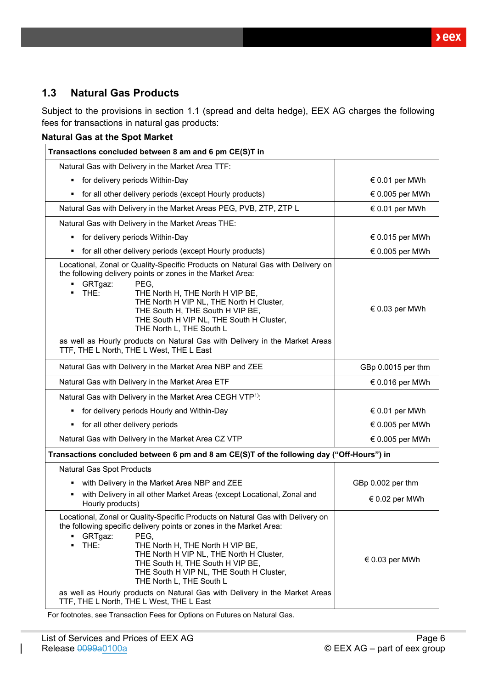$beex$ 

# <span id="page-5-0"></span>**1.3 Natural Gas Products**

Subject to the provisions in section 1.1 (spread and delta hedge), EEX AG charges the following fees for transactions in natural gas products:

| Transactions concluded between 8 am and 6 pm CE(S)T in                                                                                                                                                                                                                                                                                                                                                                                                                                                  |                          |
|---------------------------------------------------------------------------------------------------------------------------------------------------------------------------------------------------------------------------------------------------------------------------------------------------------------------------------------------------------------------------------------------------------------------------------------------------------------------------------------------------------|--------------------------|
| Natural Gas with Delivery in the Market Area TTF:                                                                                                                                                                                                                                                                                                                                                                                                                                                       |                          |
| for delivery periods Within-Day<br>٠                                                                                                                                                                                                                                                                                                                                                                                                                                                                    | € 0.01 per MWh           |
| for all other delivery periods (except Hourly products)                                                                                                                                                                                                                                                                                                                                                                                                                                                 | € 0.005 per MWh          |
| Natural Gas with Delivery in the Market Areas PEG, PVB, ZTP, ZTP L                                                                                                                                                                                                                                                                                                                                                                                                                                      | € 0.01 per MWh           |
| Natural Gas with Delivery in the Market Areas THE:                                                                                                                                                                                                                                                                                                                                                                                                                                                      |                          |
| for delivery periods Within-Day<br>п                                                                                                                                                                                                                                                                                                                                                                                                                                                                    | $\epsilon$ 0.015 per MWh |
| for all other delivery periods (except Hourly products)<br>٠                                                                                                                                                                                                                                                                                                                                                                                                                                            | € 0.005 per MWh          |
| Locational, Zonal or Quality-Specific Products on Natural Gas with Delivery on<br>the following delivery points or zones in the Market Area:<br>PEG,<br>GRTgaz:<br>٠<br>THE:<br>THE North H, THE North H VIP BE,<br>THE North H VIP NL, THE North H Cluster,<br>THE South H, THE South H VIP BE,<br>THE South H VIP NL, THE South H Cluster,<br>THE North L, THE South L<br>as well as Hourly products on Natural Gas with Delivery in the Market Areas<br>TTF, THE L North, THE L West, THE L East     | € 0.03 per MWh           |
| Natural Gas with Delivery in the Market Area NBP and ZEE                                                                                                                                                                                                                                                                                                                                                                                                                                                | GBp 0.0015 per thm       |
| Natural Gas with Delivery in the Market Area ETF                                                                                                                                                                                                                                                                                                                                                                                                                                                        | € 0.016 per MWh          |
| Natural Gas with Delivery in the Market Area CEGH VTP <sup>1)</sup> :                                                                                                                                                                                                                                                                                                                                                                                                                                   |                          |
| for delivery periods Hourly and Within-Day<br>٠                                                                                                                                                                                                                                                                                                                                                                                                                                                         | € 0.01 per MWh           |
| for all other delivery periods                                                                                                                                                                                                                                                                                                                                                                                                                                                                          | € 0.005 per MWh          |
| Natural Gas with Delivery in the Market Area CZ VTP                                                                                                                                                                                                                                                                                                                                                                                                                                                     | € 0.005 per MWh          |
| Transactions concluded between 6 pm and 8 am CE(S)T of the following day ("Off-Hours") in                                                                                                                                                                                                                                                                                                                                                                                                               |                          |
| Natural Gas Spot Products                                                                                                                                                                                                                                                                                                                                                                                                                                                                               |                          |
| with Delivery in the Market Area NBP and ZEE                                                                                                                                                                                                                                                                                                                                                                                                                                                            | GBp 0.002 per thm        |
| with Delivery in all other Market Areas (except Locational, Zonal and<br>Hourly products)                                                                                                                                                                                                                                                                                                                                                                                                               | € 0.02 per MWh           |
| Locational, Zonal or Quality-Specific Products on Natural Gas with Delivery on<br>the following specific delivery points or zones in the Market Area:<br>GRTgaz:<br>PEG.<br>THE:<br>THE North H, THE North H VIP BE,<br>THE North H VIP NL, THE North H Cluster,<br>THE South H, THE South H VIP BE,<br>THE South H VIP NL, THE South H Cluster,<br>THE North L, THE South L<br>as well as Hourly products on Natural Gas with Delivery in the Market Areas<br>TTF, THE L North, THE L West, THE L East | € 0.03 per MWh           |

For footnotes, see Transaction Fees for Options on Futures on Natural Gas.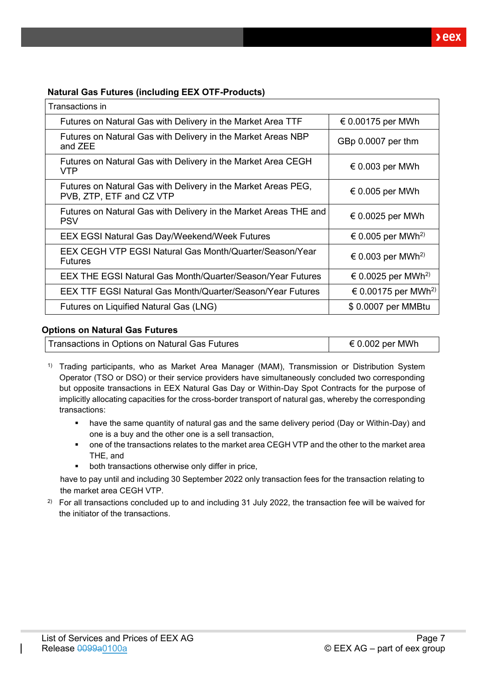### **Natural Gas Futures (including EEX OTF-Products)**

| Transactions in                                                                           |                                 |
|-------------------------------------------------------------------------------------------|---------------------------------|
| Futures on Natural Gas with Delivery in the Market Area TTF                               | € 0.00175 per MWh               |
| Futures on Natural Gas with Delivery in the Market Areas NBP<br>and ZEE                   | GBp 0.0007 per thm              |
| Futures on Natural Gas with Delivery in the Market Area CEGH<br><b>VTP</b>                | $\epsilon$ 0.003 per MWh        |
| Futures on Natural Gas with Delivery in the Market Areas PEG,<br>PVB, ZTP, ETF and CZ VTP | $\epsilon$ 0.005 per MWh        |
| Futures on Natural Gas with Delivery in the Market Areas THE and<br><b>PSV</b>            | € 0.0025 per MWh                |
| <b>EEX EGSI Natural Gas Day/Weekend/Week Futures</b>                                      | € 0.005 per MWh <sup>2)</sup>   |
| EEX CEGH VTP EGSI Natural Gas Month/Quarter/Season/Year<br><b>Futures</b>                 | € 0.003 per MWh <sup>2)</sup>   |
| <b>EEX THE EGSI Natural Gas Month/Quarter/Season/Year Futures</b>                         | € 0.0025 per MWh <sup>2)</sup>  |
| <b>EEX TTF EGSI Natural Gas Month/Quarter/Season/Year Futures</b>                         | € 0.00175 per MWh <sup>2)</sup> |
| Futures on Liquified Natural Gas (LNG)                                                    | \$0.0007 per MMBtu              |

#### **Options on Natural Gas Futures**

| Transactions in Options on Natural Gas Futures | € 0.002 per MWh |
|------------------------------------------------|-----------------|
|                                                |                 |

<sup>1)</sup> Trading participants, who as Market Area Manager (MAM), Transmission or Distribution System Operator (TSO or DSO) or their service providers have simultaneously concluded two corresponding but opposite transactions in EEX Natural Gas Day or Within-Day Spot Contracts for the purpose of implicitly allocating capacities for the cross-border transport of natural gas, whereby the corresponding transactions:

- have the same quantity of natural gas and the same delivery period (Day or Within-Day) and one is a buy and the other one is a sell transaction,
- one of the transactions relates to the market area CEGH VTP and the other to the market area THE, and
- both transactions otherwise only differ in price,

have to pay until and including 30 September 2022 only transaction fees for the transaction relating to the market area CEGH VTP.

<sup>2)</sup> For all transactions concluded up to and including 31 July 2022, the transaction fee will be waived for the initiator of the transactions.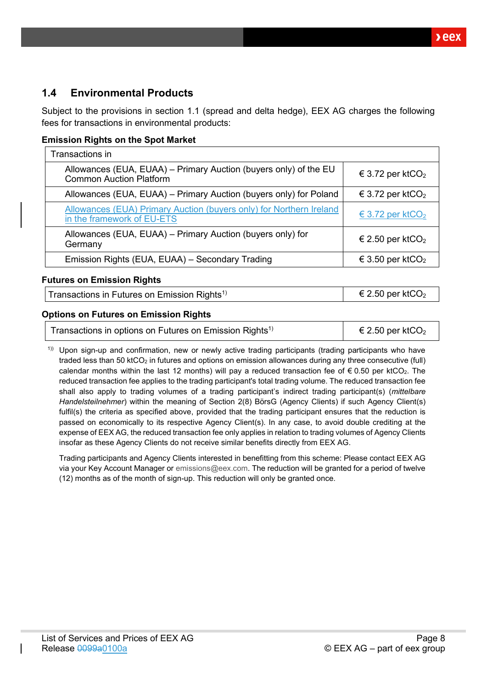$xeex$ 

# <span id="page-7-0"></span>**1.4 Environmental Products**

Subject to the provisions in section 1.1 (spread and delta hedge), EEX AG charges the following fees for transactions in environmental products:

### **Emission Rights on the Spot Market**

| Transactions in                                                                                    |                              |
|----------------------------------------------------------------------------------------------------|------------------------------|
| Allowances (EUA, EUAA) – Primary Auction (buyers only) of the EU<br><b>Common Auction Platform</b> | € 3.72 per ktCO <sub>2</sub> |
| Allowances (EUA, EUAA) - Primary Auction (buyers only) for Poland                                  | € 3.72 per ktCO <sub>2</sub> |
| Allowances (EUA) Primary Auction (buyers only) for Northern Ireland<br>in the framework of EU-ETS  | € 3.72 per ktCO <sub>2</sub> |
| Allowances (EUA, EUAA) - Primary Auction (buyers only) for<br>Germany                              | € 2.50 per ktCO <sub>2</sub> |
| Emission Rights (EUA, EUAA) - Secondary Trading                                                    | € 3.50 per ktCO <sub>2</sub> |

#### **Futures on Emission Rights**

Transactions in Futures on Emission Rights<sup>1)</sup>  $\epsilon$  2.50 per ktCO<sub>2</sub>

### **Options on Futures on Emission Rights**

| Transactions in options on Futures on Emission Rights <sup>1)</sup> | $\epsilon$ 2.50 per ktCO <sub>2</sub> |
|---------------------------------------------------------------------|---------------------------------------|
|---------------------------------------------------------------------|---------------------------------------|

 $1)$ ) Upon sign-up and confirmation, new or newly active trading participants (trading participants who have traded less than 50 ktCO<sub>2</sub> in futures and options on emission allowances during any three consecutive (full) calendar months within the last 12 months) will pay a reduced transaction fee of  $\epsilon$  0.50 per ktCO<sub>2</sub>. The reduced transaction fee applies to the trading participant's total trading volume. The reduced transaction fee shall also apply to trading volumes of a trading participant's indirect trading participant(s) (*mittelbare Handelsteilnehmer*) within the meaning of Section 2(8) BörsG (Agency Clients) if such Agency Client(s) fulfil(s) the criteria as specified above, provided that the trading participant ensures that the reduction is passed on economically to its respective Agency Client(s). In any case, to avoid double crediting at the expense of EEX AG, the reduced transaction fee only applies in relation to trading volumes of Agency Clients insofar as these Agency Clients do not receive similar benefits directly from EEX AG.

Trading participants and Agency Clients interested in benefitting from this scheme: Please contact EEX AG via your Key Account Manager or [emissions@eex.com.](mailto:emissions@eex.com) The reduction will be granted for a period of twelve (12) months as of the month of sign-up. This reduction will only be granted once.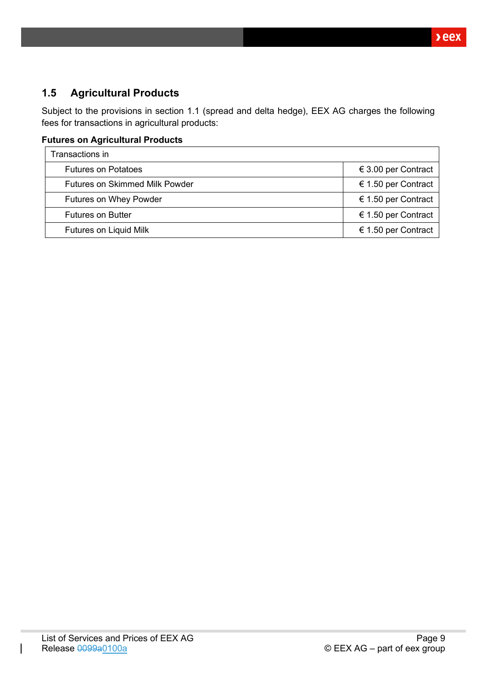# <span id="page-8-0"></span>**1.5 Agricultural Products**

Subject to the provisions in section 1.1 (spread and delta hedge), EEX AG charges the following fees for transactions in agricultural products:

### **Futures on Agricultural Products**

| Transactions in                       |                     |
|---------------------------------------|---------------------|
| <b>Futures on Potatoes</b>            | € 3.00 per Contract |
| <b>Futures on Skimmed Milk Powder</b> | € 1.50 per Contract |
| <b>Futures on Whey Powder</b>         | € 1.50 per Contract |
| <b>Futures on Butter</b>              | € 1.50 per Contract |
| Futures on Liquid Milk                | € 1.50 per Contract |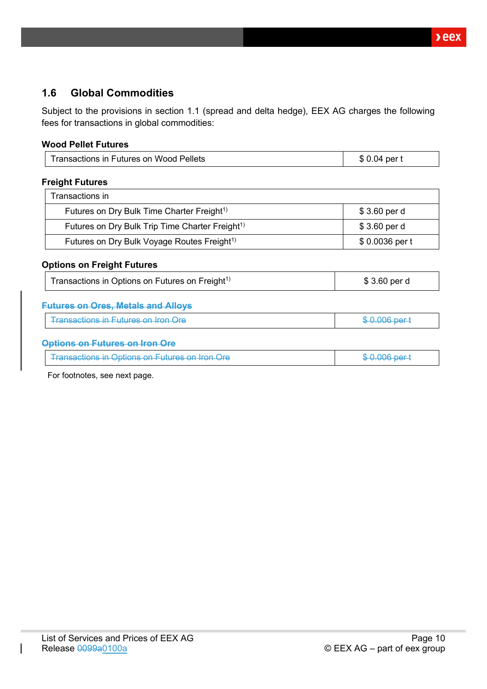# <span id="page-9-0"></span>**1.6 Global Commodities**

Subject to the provisions in section 1.1 (spread and delta hedge), EEX AG charges the following fees for transactions in global commodities:

### **Wood Pellet Futures**

| <b>Transactions in Futures on Wood Pellets</b>              | \$0.04 per t   |
|-------------------------------------------------------------|----------------|
| <b>Freight Futures</b>                                      |                |
| Transactions in                                             |                |
| Futures on Dry Bulk Time Charter Freight <sup>1)</sup>      | \$3.60 per d   |
| Futures on Dry Bulk Trip Time Charter Freight <sup>1)</sup> | \$3.60 per d   |
| Futures on Dry Bulk Voyage Routes Freight <sup>1)</sup>     | \$0.0036 per t |
| <b>Options on Freight Futures</b>                           |                |
| Transactions in Options on Futures on Freight <sup>1)</sup> | \$3.60 per d   |
| <b>Futures on Ores, Metals and Alloys</b>                   |                |
| <b>Transactions in Futures on Iron Ore</b>                  | \$0.006 per t  |
| Options on Futures on Iron                                  |                |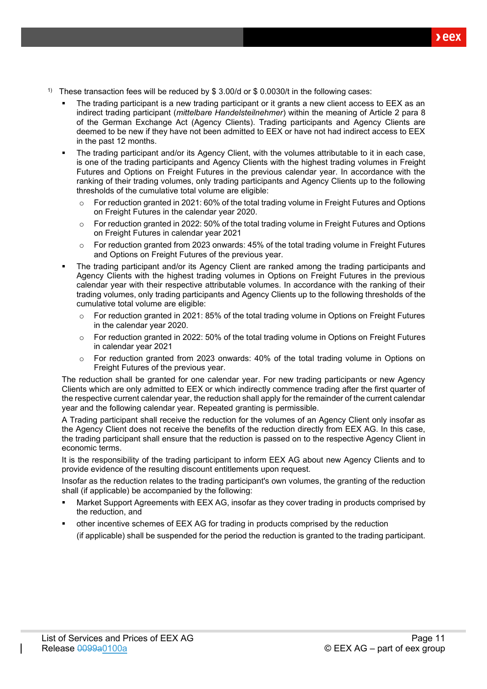- <sup>1)</sup> These transaction fees will be reduced by \$ 3.00/d or \$ 0.0030/t in the following cases:
	- The trading participant is a new trading participant or it grants a new client access to EEX as an indirect trading participant (*mittelbare Handelsteilnehmer*) within the meaning of Article 2 para 8 of the German Exchange Act (Agency Clients). Trading participants and Agency Clients are deemed to be new if they have not been admitted to EEX or have not had indirect access to EEX in the past 12 months.
	- The trading participant and/or its Agency Client, with the volumes attributable to it in each case, is one of the trading participants and Agency Clients with the highest trading volumes in Freight Futures and Options on Freight Futures in the previous calendar year. In accordance with the ranking of their trading volumes, only trading participants and Agency Clients up to the following thresholds of the cumulative total volume are eligible:
		- $\circ$  For reduction granted in 2021: 60% of the total trading volume in Freight Futures and Options on Freight Futures in the calendar year 2020.
		- o For reduction granted in 2022: 50% of the total trading volume in Freight Futures and Options on Freight Futures in calendar year 2021
		- o For reduction granted from 2023 onwards: 45% of the total trading volume in Freight Futures and Options on Freight Futures of the previous year.
	- The trading participant and/or its Agency Client are ranked among the trading participants and Agency Clients with the highest trading volumes in Options on Freight Futures in the previous calendar year with their respective attributable volumes. In accordance with the ranking of their trading volumes, only trading participants and Agency Clients up to the following thresholds of the cumulative total volume are eligible:
		- $\circ$  For reduction granted in 2021: 85% of the total trading volume in Options on Freight Futures in the calendar year 2020.
		- $\circ$  For reduction granted in 2022: 50% of the total trading volume in Options on Freight Futures in calendar year 2021
		- $\circ$  For reduction granted from 2023 onwards: 40% of the total trading volume in Options on Freight Futures of the previous year.

The reduction shall be granted for one calendar year. For new trading participants or new Agency Clients which are only admitted to EEX or which indirectly commence trading after the first quarter of the respective current calendar year, the reduction shall apply for the remainder of the current calendar year and the following calendar year. Repeated granting is permissible.

A Trading participant shall receive the reduction for the volumes of an Agency Client only insofar as the Agency Client does not receive the benefits of the reduction directly from EEX AG. In this case, the trading participant shall ensure that the reduction is passed on to the respective Agency Client in economic terms.

It is the responsibility of the trading participant to inform EEX AG about new Agency Clients and to provide evidence of the resulting discount entitlements upon request.

Insofar as the reduction relates to the trading participant's own volumes, the granting of the reduction shall (if applicable) be accompanied by the following:

- Market Support Agreements with EEX AG, insofar as they cover trading in products comprised by the reduction, and
- other incentive schemes of EEX AG for trading in products comprised by the reduction (if applicable) shall be suspended for the period the reduction is granted to the trading participant.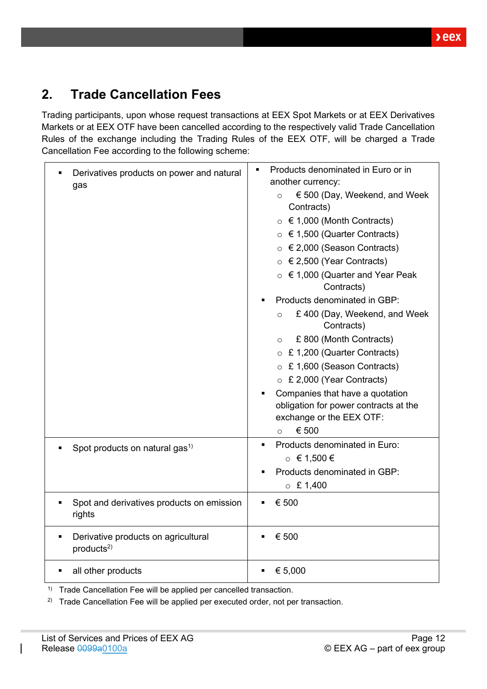# <span id="page-11-0"></span>**2. Trade Cancellation Fees**

Trading participants, upon whose request transactions at EEX Spot Markets or at EEX Derivatives Markets or at EEX OTF have been cancelled according to the respectively valid Trade Cancellation Rules of the exchange including the Trading Rules of the EEX OTF, will be charged a Trade Cancellation Fee according to the following scheme:

| Derivatives products on power and natural<br>gas                                | Products denominated in Euro or in<br>$\blacksquare$<br>another currency: |  |  |
|---------------------------------------------------------------------------------|---------------------------------------------------------------------------|--|--|
|                                                                                 | € 500 (Day, Weekend, and Week<br>$\circ$<br>Contracts)                    |  |  |
|                                                                                 | $\circ$ $\in$ 1,000 (Month Contracts)                                     |  |  |
|                                                                                 | ○ $\in$ 1,500 (Quarter Contracts)                                         |  |  |
|                                                                                 | $\circ$ $\in$ 2,000 (Season Contracts)                                    |  |  |
|                                                                                 | ○ $\in$ 2,500 (Year Contracts)                                            |  |  |
|                                                                                 | ○ $\epsilon$ 1,000 (Quarter and Year Peak<br>Contracts)                   |  |  |
|                                                                                 | Products denominated in GBP:                                              |  |  |
|                                                                                 | £400 (Day, Weekend, and Week<br>$\circ$<br>Contracts)                     |  |  |
|                                                                                 | £ 800 (Month Contracts)<br>$\circ$                                        |  |  |
|                                                                                 | $\circ$ £ 1,200 (Quarter Contracts)                                       |  |  |
|                                                                                 | ○ £ 1,600 (Season Contracts)                                              |  |  |
|                                                                                 | $\circ$ £ 2,000 (Year Contracts)                                          |  |  |
|                                                                                 | Companies that have a quotation                                           |  |  |
|                                                                                 | obligation for power contracts at the                                     |  |  |
|                                                                                 | exchange or the EEX OTF:                                                  |  |  |
|                                                                                 | € 500<br>$\circ$                                                          |  |  |
| Spot products on natural gas <sup>1)</sup>                                      | Products denominated in Euro:<br>$\blacksquare$                           |  |  |
|                                                                                 | $\circ$ € 1,500 €                                                         |  |  |
|                                                                                 | Products denominated in GBP:                                              |  |  |
|                                                                                 | $\circ$ £ 1,400                                                           |  |  |
| Spot and derivatives products on emission<br>rights                             | € 500                                                                     |  |  |
| Derivative products on agricultural<br>$\blacksquare$<br>products <sup>2)</sup> | € 500                                                                     |  |  |
| all other products                                                              | € 5,000                                                                   |  |  |

<sup>1)</sup> Trade Cancellation Fee will be applied per cancelled transaction.

<sup>2)</sup> Trade Cancellation Fee will be applied per executed order, not per transaction.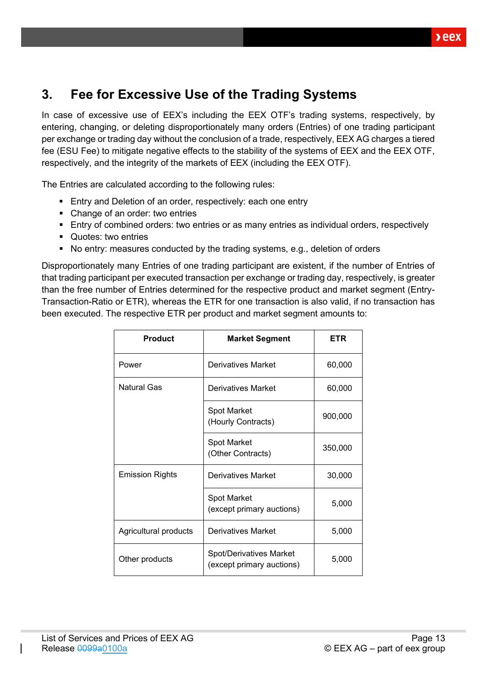# <span id="page-12-0"></span>**3. Fee for Excessive Use of the Trading Systems**

In case of excessive use of EEX's including the EEX OTF's trading systems, respectively, by entering, changing, or deleting disproportionately many orders (Entries) of one trading participant per exchange or trading day without the conclusion of a trade, respectively, EEX AG charges a tiered fee (ESU Fee) to mitigate negative effects to the stability of the systems of EEX and the EEX OTF, respectively, and the integrity of the markets of EEX (including the EEX OTF).

The Entries are calculated according to the following rules:

- Entry and Deletion of an order, respectively: each one entry
- Change of an order: two entries
- Entry of combined orders: two entries or as many entries as individual orders, respectively
- Quotes: two entries
- No entry: measures conducted by the trading systems, e.g., deletion of orders

Disproportionately many Entries of one trading participant are existent, if the number of Entries of that trading participant per executed transaction per exchange or trading day, respectively, is greater than the free number of Entries determined for the respective product and market segment (Entry-Transaction-Ratio or ETR), whereas the ETR for one transaction is also valid, if no transaction has been executed. The respective ETR per product and market segment amounts to:

| <b>Product</b>         | <b>Market Segment</b>                                       | ETR     |
|------------------------|-------------------------------------------------------------|---------|
| Power                  | Derivatives Market                                          | 60,000  |
| <b>Natural Gas</b>     | Derivatives Market                                          | 60,000  |
|                        | Spot Market<br>(Hourly Contracts)                           | 900,000 |
|                        | Spot Market<br>(Other Contracts)                            | 350,000 |
| <b>Emission Rights</b> | Derivatives Market                                          | 30,000  |
|                        | Spot Market<br>(except primary auctions)                    | 5,000   |
| Agricultural products  | Derivatives Market                                          | 5,000   |
| Other products         | <b>Spot/Derivatives Market</b><br>(except primary auctions) | 5,000   |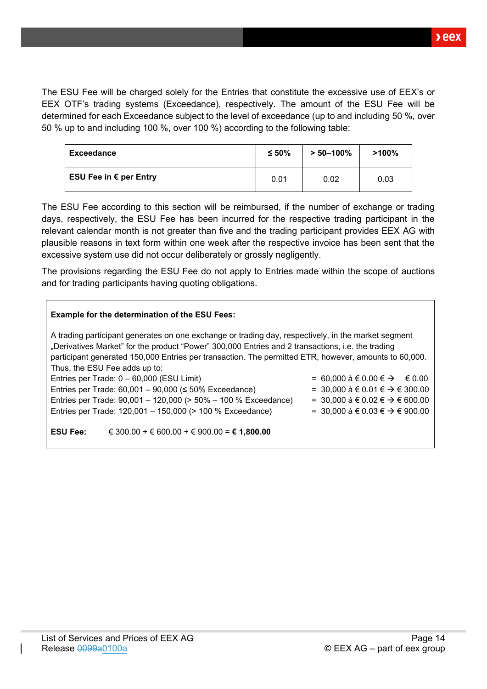The ESU Fee will be charged solely for the Entries that constitute the excessive use of EEX's or EEX OTF's trading systems (Exceedance), respectively. The amount of the ESU Fee will be determined for each Exceedance subject to the level of exceedance (up to and including 50 %, over 50 % up to and including 100 %, over 100 %) according to the following table:

| <b>Exceedance</b>      | $≤ 50\%$ | $> 50 - 100\%$ | $>100\%$ |
|------------------------|----------|----------------|----------|
| ESU Fee in € per Entry | 0.01     | 0.02           | 0.03     |

The ESU Fee according to this section will be reimbursed, if the number of exchange or trading days, respectively, the ESU Fee has been incurred for the respective trading participant in the relevant calendar month is not greater than five and the trading participant provides EEX AG with plausible reasons in text form within one week after the respective invoice has been sent that the excessive system use did not occur deliberately or grossly negligently.

The provisions regarding the ESU Fee do not apply to Entries made within the scope of auctions and for trading participants having quoting obligations.

| <b>Example for the determination of the ESU Fees:</b>                                                 |                                            |  |  |
|-------------------------------------------------------------------------------------------------------|--------------------------------------------|--|--|
| A trading participant generates on one exchange or trading day, respectively, in the market segment   |                                            |  |  |
| "Derivatives Market" for the product "Power" 300,000 Entries and 2 transactions, i.e. the trading     |                                            |  |  |
| participant generated 150,000 Entries per transaction. The permitted ETR, however, amounts to 60,000. |                                            |  |  |
| Thus, the ESU Fee adds up to:                                                                         |                                            |  |  |
| Entries per Trade: 0 - 60,000 (ESU Limit)                                                             | = 60,000 à € 0.00 € $\rightarrow$ € 0.00   |  |  |
| Entries per Trade: $60,001 - 90,000 \le 50\%$ Exceedance)                                             | = 30,000 à € 0.01 € $\rightarrow$ € 300.00 |  |  |
| Entries per Trade: 90,001 - 120,000 (> 50% - 100 % Exceedance)                                        | = 30,000 à € 0.02 € $\rightarrow$ € 600.00 |  |  |
| Entries per Trade: 120,001 - 150,000 (> 100 % Exceedance)                                             | = 30,000 à € 0.03 € $\rightarrow$ € 900.00 |  |  |
|                                                                                                       |                                            |  |  |
| € 300.00 + € 600.00 + € 900.00 = € 1,800.00<br><b>ESU Fee:</b>                                        |                                            |  |  |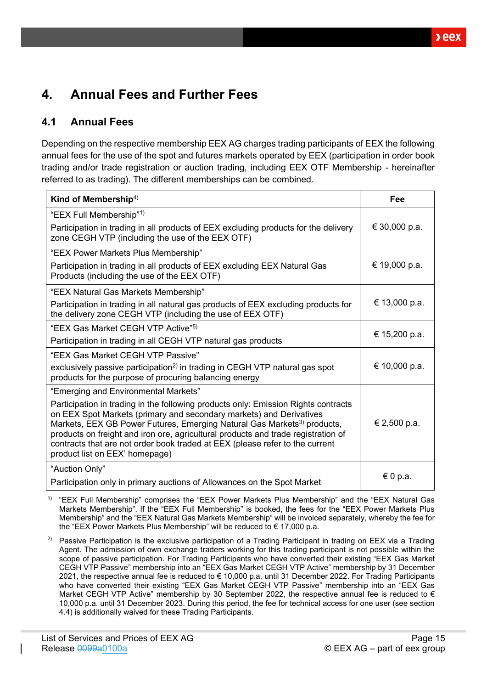# <span id="page-14-0"></span>**4. Annual Fees and Further Fees**

# <span id="page-14-1"></span>**4.1 Annual Fees**

Depending on the respective membership EEX AG charges trading participants of EEX the following annual fees for the use of the spot and futures markets operated by EEX (participation in order book trading and/or trade registration or auction trading, including EEX OTF Membership - hereinafter referred to as trading). The different memberships can be combined.

| Kind of Membership <sup>4)</sup>                                                                                                                                                                                                                                                                                                                                                                                                                        | Fee           |
|---------------------------------------------------------------------------------------------------------------------------------------------------------------------------------------------------------------------------------------------------------------------------------------------------------------------------------------------------------------------------------------------------------------------------------------------------------|---------------|
| "EEX Full Membership" <sup>1)</sup>                                                                                                                                                                                                                                                                                                                                                                                                                     |               |
| Participation in trading in all products of EEX excluding products for the delivery<br>zone CEGH VTP (including the use of the EEX OTF)                                                                                                                                                                                                                                                                                                                 | € 30,000 p.a. |
| "EEX Power Markets Plus Membership"                                                                                                                                                                                                                                                                                                                                                                                                                     |               |
| Participation in trading in all products of EEX excluding EEX Natural Gas<br>Products (including the use of the EEX OTF)                                                                                                                                                                                                                                                                                                                                | € 19,000 p.a. |
| "EEX Natural Gas Markets Membership"                                                                                                                                                                                                                                                                                                                                                                                                                    |               |
| Participation in trading in all natural gas products of EEX excluding products for<br>the delivery zone CEGH VTP (including the use of EEX OTF)                                                                                                                                                                                                                                                                                                         | € 13,000 p.a. |
| "EEX Gas Market CEGH VTP Active" <sup>5)</sup>                                                                                                                                                                                                                                                                                                                                                                                                          | € 15,200 p.a. |
| Participation in trading in all CEGH VTP natural gas products                                                                                                                                                                                                                                                                                                                                                                                           |               |
| "EEX Gas Market CEGH VTP Passive"                                                                                                                                                                                                                                                                                                                                                                                                                       |               |
| exclusively passive participation <sup>2)</sup> in trading in CEGH VTP natural gas spot<br>products for the purpose of procuring balancing energy                                                                                                                                                                                                                                                                                                       | € 10,000 p.a. |
| "Emerging and Environmental Markets"                                                                                                                                                                                                                                                                                                                                                                                                                    |               |
| Participation in trading in the following products only: Emission Rights contracts<br>on EEX Spot Markets (primary and secondary markets) and Derivatives<br>Markets, EEX GB Power Futures, Emerging Natural Gas Markets <sup>3)</sup> products,<br>products on freight and iron ore, agricultural products and trade registration of<br>contracts that are not order book traded at EEX (please refer to the current<br>product list on EEX' homepage) | € 2,500 p.a.  |
| "Auction Only"                                                                                                                                                                                                                                                                                                                                                                                                                                          | € 0 p.a.      |
| Participation only in primary auctions of Allowances on the Spot Market                                                                                                                                                                                                                                                                                                                                                                                 |               |

<sup>1)</sup> "EEX Full Membership" comprises the "EEX Power Markets Plus Membership" and the "EEX Natural Gas Markets Membership". If the "EEX Full Membership" is booked, the fees for the "EEX Power Markets Plus Membership" and the "EEX Natural Gas Markets Membership" will be invoiced separately, whereby the fee for the "EEX Power Markets Plus Membership" will be reduced to € 17,000 p.a.

<sup>2)</sup> Passive Participation is the exclusive participation of a Trading Participant in trading on EEX via a Trading Agent. The admission of own exchange traders working for this trading participant is not possible within the scope of passive participation. For Trading Participants who have converted their existing "EEX Gas Market CEGH VTP Passive" membership into an "EEX Gas Market CEGH VTP Active" membership by 31 December 2021, the respective annual fee is reduced to € 10,000 p.a. until 31 December 2022. For Trading Participants who have converted their existing "EEX Gas Market CEGH VTP Passive" membership into an "EEX Gas Market CEGH VTP Active" membership by 30 September 2022, the respective annual fee is reduced to  $\epsilon$ 10,000 p.a. until 31 December 2023. During this period, the fee for technical access for one user (see section [4.4\)](#page-17-0) is additionally waived for these Trading Participants.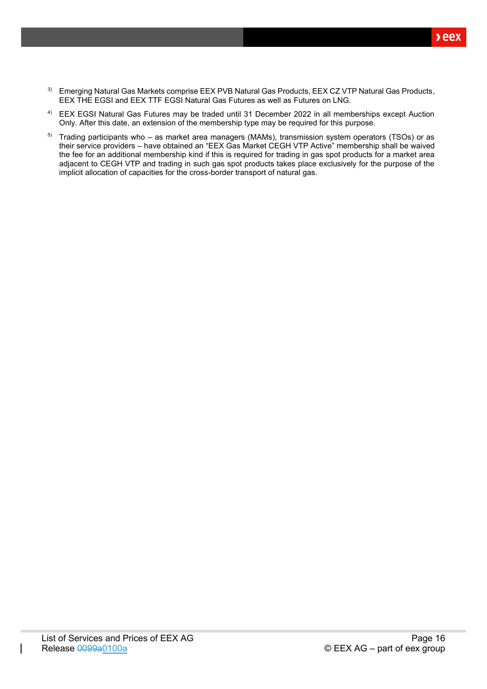- <sup>3)</sup> Emerging Natural Gas Markets comprise EEX PVB Natural Gas Products, EEX CZ VTP Natural Gas Products, EEX THE EGSI and EEX TTF EGSI Natural Gas Futures as well as Futures on LNG.
- 4) EEX EGSI Natural Gas Futures may be traded until 31 December 2022 in all memberships except Auction Only. After this date, an extension of the membership type may be required for this purpose.
- 5) Trading participants who as market area managers (MAMs), transmission system operators (TSOs) or as their service providers – have obtained an "EEX Gas Market CEGH VTP Active" membership shall be waived the fee for an additional membership kind if this is required for trading in gas spot products for a market area adjacent to CEGH VTP and trading in such gas spot products takes place exclusively for the purpose of the implicit allocation of capacities for the cross-border transport of natural gas.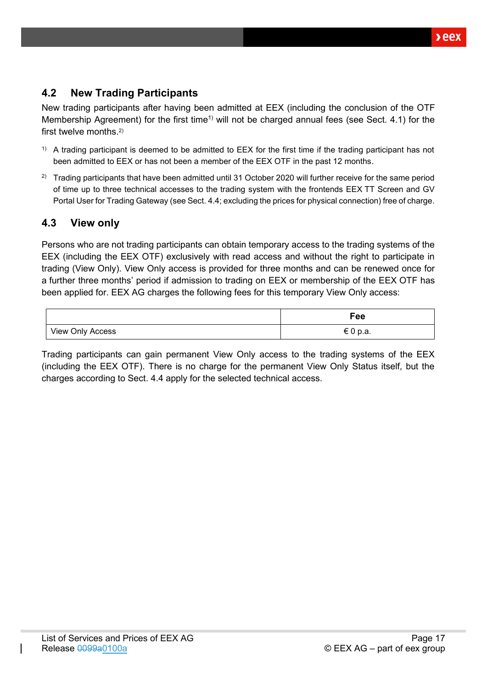# <span id="page-16-0"></span>**4.2 New Trading Participants**

New trading participants after having been admitted at EEX (including the conclusion of the OTF Membership Agreement) for the first time<sup>1)</sup> will not be charged annual fees (see Sect. [4.1\)](#page-14-1) for the first twelve months.<sup>2)</sup>

- $1)$  A trading participant is deemed to be admitted to EEX for the first time if the trading participant has not been admitted to EEX or has not been a member of the EEX OTF in the past 12 months.
- <sup>2)</sup> Trading participants that have been admitted until 31 October 2020 will further receive for the same period of time up to three technical accesses to the trading system with the frontends EEX TT Screen and GV Portal User for Trading Gateway (see Sect[. 4.4;](#page-17-0) excluding the prices for physical connection) free of charge.

## <span id="page-16-1"></span>**4.3 View only**

Persons who are not trading participants can obtain temporary access to the trading systems of the EEX (including the EEX OTF) exclusively with read access and without the right to participate in trading (View Only). View Only access is provided for three months and can be renewed once for a further three months' period if admission to trading on EEX or membership of the EEX OTF has been applied for. EEX AG charges the following fees for this temporary View Only access:

|                  | Fee      |
|------------------|----------|
| View Only Access | € 0 p.a. |

Trading participants can gain permanent View Only access to the trading systems of the EEX (including the EEX OTF). There is no charge for the permanent View Only Status itself, but the charges according to Sect. [4.4](#page-17-0) apply for the selected technical access.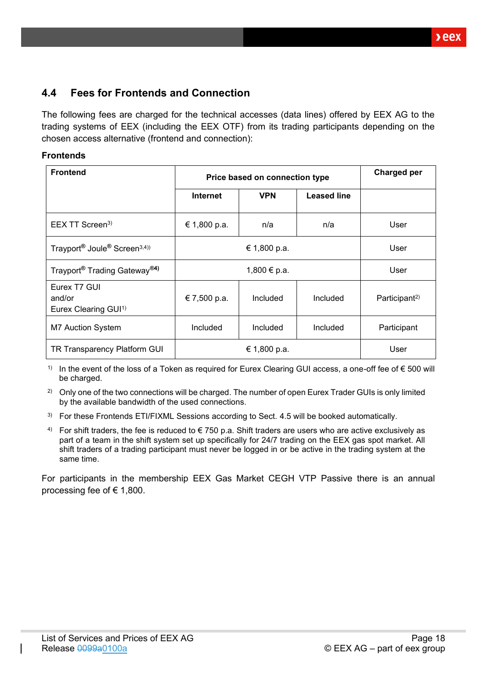# <span id="page-17-0"></span>**4.4 Fees for Frontends and Connection**

The following fees are charged for the technical accesses (data lines) offered by EEX AG to the trading systems of EEX (including the EEX OTF) from its trading participants depending on the chosen access alternative (frontend and connection):

### **Frontends**

| <b>Frontend</b>                                                  | Price based on connection type |            |                    | Charged per               |
|------------------------------------------------------------------|--------------------------------|------------|--------------------|---------------------------|
|                                                                  | <b>Internet</b>                | <b>VPN</b> | <b>Leased line</b> |                           |
| $EEX$ TT Screen <sup>3)</sup>                                    | € 1,800 p.a.                   | n/a        | n/a                | User                      |
| Trayport <sup>®</sup> Joule <sup>®</sup> Screen <sup>3,4))</sup> | € 1,800 p.a.                   |            |                    | User                      |
| Trayport <sup>®</sup> Trading Gateway <sup>®4)</sup>             | 1,800 € p.a.                   |            |                    | User                      |
| Eurex T7 GUI<br>and/or<br>Eurex Clearing GUI <sup>1)</sup>       | € 7,500 p.a.                   | Included   | Included           | Participant <sup>2)</sup> |
| <b>M7 Auction System</b>                                         | Included                       | Included   | Included           | Participant               |
| TR Transparency Platform GUI                                     | € 1,800 p.a.                   |            | User               |                           |

1) In the event of the loss of a Token as required for Eurex Clearing GUI access, a one-off fee of  $\epsilon$  500 will be charged.

<sup>2)</sup> Only one of the two connections will be charged. The number of open Eurex Trader GUIs is only limited by the available bandwidth of the used connections.

- <sup>3)</sup> For these Frontends ETI/FIXML Sessions according to Sect. [4.5](#page-20-0) will be booked automatically.
- 4) For shift traders, the fee is reduced to  $\epsilon$  750 p.a. Shift traders are users who are active exclusively as part of a team in the shift system set up specifically for 24/7 trading on the EEX gas spot market. All shift traders of a trading participant must never be logged in or be active in the trading system at the same time.

For participants in the membership EEX Gas Market CEGH VTP Passive there is an annual processing fee of  $\in$  1,800.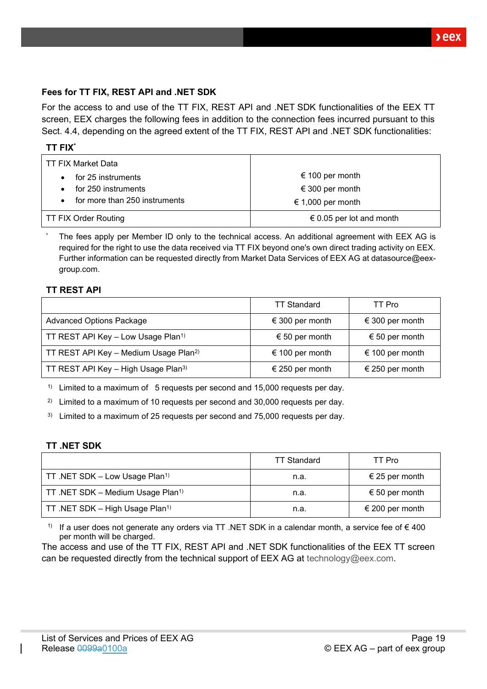$xeex$ 

### **Fees for TT FIX, REST API and .NET SDK**

For the access to and use of the TT FIX, REST API and .NET SDK functionalities of the EEX TT screen, EEX charges the following fees in addition to the connection fees incurred pursuant to this Sect. [4.4,](#page-17-0) depending on the agreed extent of the TT FIX, REST API and .NET SDK functionalities:

| TT FIX Market Data                         |                          |
|--------------------------------------------|--------------------------|
| for 25 instruments                         | € 100 per month          |
| for 250 instruments                        | € 300 per month          |
| for more than 250 instruments<br>$\bullet$ | € 1,000 per month        |
| <b>TT FIX Order Routing</b>                | € 0.05 per lot and month |

The fees apply per Member ID only to the technical access. An additional agreement with EEX AG is required for the right to use the data received via TT FIX beyond one's own direct trading activity on EEX. Further information can be requested directly from Market Data Services of EEX AG at datasource@eexgroup.com.

### **TT REST API**

|                                                   | <b>TT Standard</b> | TT Pro          |
|---------------------------------------------------|--------------------|-----------------|
| <b>Advanced Options Package</b>                   | € 300 per month    | € 300 per month |
| TT REST API Key - Low Usage Plan <sup>1)</sup>    | € 50 per month     | € 50 per month  |
| TT REST API Key - Medium Usage Plan <sup>2)</sup> | € 100 per month    | € 100 per month |
| TT REST API Key - High Usage Plan <sup>3)</sup>   | € 250 per month    | € 250 per month |

<sup>1)</sup> Limited to a maximum of 5 requests per second and 15,000 requests per day.

<sup>2)</sup> Limited to a maximum of 10 requests per second and 30,000 requests per day.

 $3)$  Limited to a maximum of 25 requests per second and 75,000 requests per day.

#### **TT .NET SDK**

|                                               | <b>TT Standard</b> | TT Pro          |
|-----------------------------------------------|--------------------|-----------------|
| TT .NET SDK - Low Usage Plan <sup>1)</sup>    | n.a.               | € 25 per month  |
| TT .NET SDK - Medium Usage Plan <sup>1)</sup> | n.a.               | € 50 per month  |
| TT .NET SDK - High Usage Plan <sup>1)</sup>   | n.a.               | € 200 per month |

1) If a user does not generate any orders via TT .NET SDK in a calendar month, a service fee of  $\epsilon$  400 per month will be charged.

The access and use of the TT FIX, REST API and .NET SDK functionalities of the EEX TT screen can be requested directly from the technical support of EEX AG at [technology@eex.com.](mailto:technology@eex.com)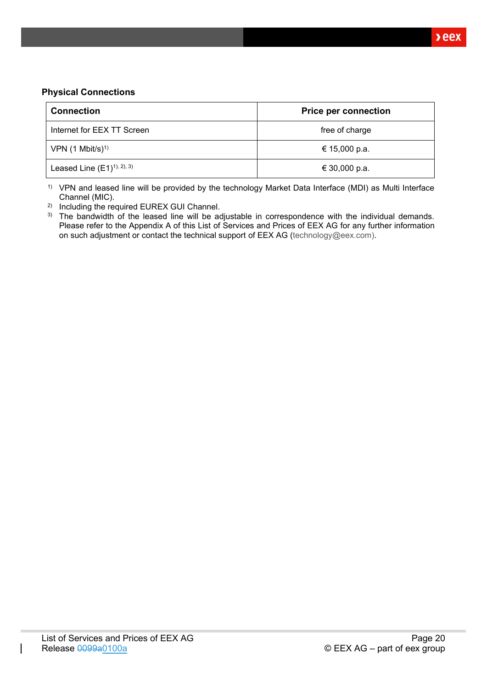### **Physical Connections**

| <b>Connection</b>            | <b>Price per connection</b> |  |
|------------------------------|-----------------------------|--|
| Internet for EEX TT Screen   | free of charge              |  |
| VPN $(1 \text{ Mbit/s})^{1}$ | € 15,000 p.a.               |  |
| Leased Line $(E1)^{1,2,3}$   | € 30,000 p.a.               |  |

1) VPN and leased line will be provided by the technology Market Data Interface (MDI) as Multi Interface Channel (MIC).

2) Including the required EUREX GUI Channel.

<sup>3)</sup> The bandwidth of the leased line will be adjustable in correspondence with the individual demands. Please refer to the Appendix A of this List of Services and Prices of EEX AG for any further information on such adjustment or contact the technical support of EEX AG [\(technology@eex.com\)](mailto:technology@eex.com).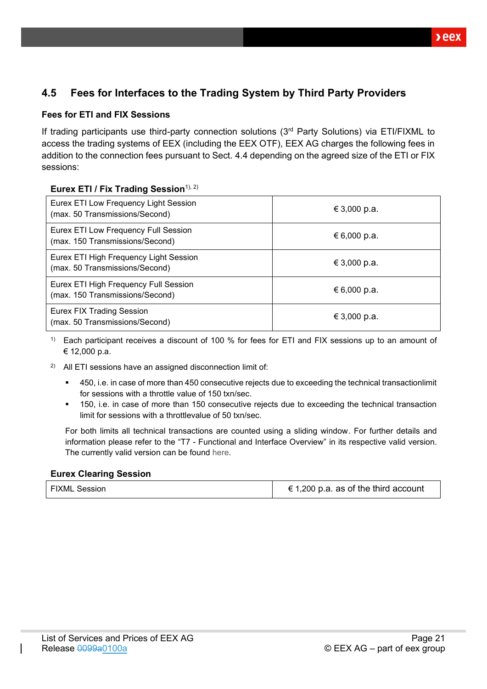# <span id="page-20-0"></span>**4.5 Fees for Interfaces to the Trading System by Third Party Providers**

## **Fees for ETI and FIX Sessions**

If trading participants use third-party connection solutions (3rd Party Solutions) via ETI/FIXML to access the trading systems of EEX (including the EEX OTF), EEX AG charges the following fees in addition to the connection fees pursuant to Sect. [4.4](#page-17-0) depending on the agreed size of the ETI or FIX sessions:

### **Eurex ETI / Fix Trading Session**<sup>1), 2)</sup>

| Eurex ETI Low Frequency Light Session<br>(max. 50 Transmissions/Second)  | € 3,000 p.a. |
|--------------------------------------------------------------------------|--------------|
| Eurex ETI Low Frequency Full Session<br>(max. 150 Transmissions/Second)  | € 6,000 p.a. |
| Eurex ETI High Frequency Light Session<br>(max. 50 Transmissions/Second) | € 3,000 p.a. |
| Eurex ETI High Frequency Full Session<br>(max. 150 Transmissions/Second) | € 6,000 p.a. |
| <b>Eurex FIX Trading Session</b><br>(max. 50 Transmissions/Second)       | € 3,000 p.a. |

<sup>1)</sup> Each participant receives a discount of 100 % for fees for ETI and FIX sessions up to an amount of € 12,000 p.a.

- 2) All ETI sessions have an assigned disconnection limit of:
	- 450, i.e. in case of more than 450 consecutive rejects due to exceeding the technical transactionlimit for sessions with a throttle value of 150 txn/sec.
	- 150, i.e. in case of more than 150 consecutive rejects due to exceeding the technical transaction limit for sessions with a throttlevalue of 50 txn/sec.

For both limits all technical transactions are counted using a sliding window. For further details and information please refer to the "T7 - Functional and Interface Overview" in its respective valid version. The currently valid version can be found [here.](https://www.eurexchange.com/exchange-en/technology/t7)

### **Eurex Clearing Session**

|  | <b>FIXML Session</b> | € 1,200 p.a. as of the third account |
|--|----------------------|--------------------------------------|
|--|----------------------|--------------------------------------|

 $\lambda$ eex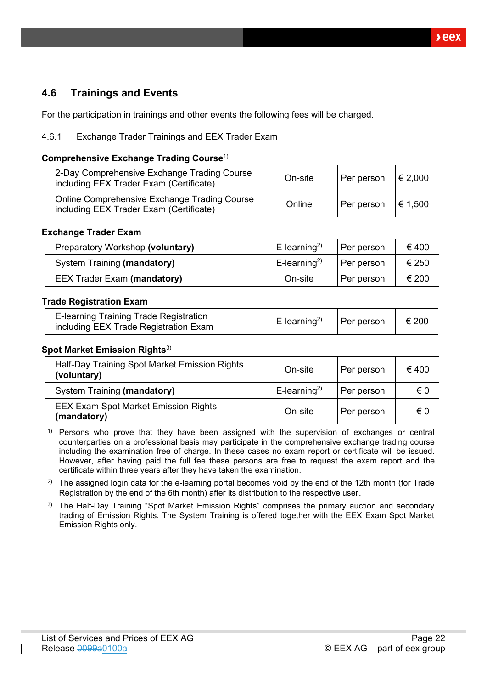# <span id="page-21-0"></span>**4.6 Trainings and Events**

For the participation in trainings and other events the following fees will be charged.

### <span id="page-21-1"></span>4.6.1 Exchange Trader Trainings and EEX Trader Exam

#### **Comprehensive Exchange Trading Course**1)

| 2-Day Comprehensive Exchange Trading Course<br>including EEX Trader Exam (Certificate)  | On-site | Per person | € 2,000 |
|-----------------------------------------------------------------------------------------|---------|------------|---------|
| Online Comprehensive Exchange Trading Course<br>including EEX Trader Exam (Certificate) | Online  | Per person | € 1,500 |

#### **Exchange Trader Exam**

| Preparatory Workshop (voluntary)   | $E$ -learning <sup>2)</sup> | Per person | €400  |
|------------------------------------|-----------------------------|------------|-------|
| System Training (mandatory)        | $E$ -learning <sup>2)</sup> | Per person | € 250 |
| <b>EEX Trader Exam (mandatory)</b> | On-site                     | Per person | € 200 |

#### **Trade Registration Exam**

| E-learning Training Trade Registration<br>including EEX Trade Registration Exam | E-learning <sup>2)</sup>   Per person   $\in$ 200 |  |  |
|---------------------------------------------------------------------------------|---------------------------------------------------|--|--|
|---------------------------------------------------------------------------------|---------------------------------------------------|--|--|

#### **Spot Market Emission Rights**<sup>3)</sup>

| Half-Day Training Spot Market Emission Rights<br>(voluntary) | On-site                     | Per person | €400 |
|--------------------------------------------------------------|-----------------------------|------------|------|
| System Training (mandatory)                                  | $E$ -learning <sup>2)</sup> | Per person | € 0  |
| <b>EEX Exam Spot Market Emission Rights</b><br>(mandatory)   | On-site                     | Per person | € 0  |

 $1)$  Persons who prove that they have been assigned with the supervision of exchanges or central counterparties on a professional basis may participate in the comprehensive exchange trading course including the examination free of charge. In these cases no exam report or certificate will be issued. However, after having paid the full fee these persons are free to request the exam report and the certificate within three years after they have taken the examination.

<sup>2)</sup> The assigned login data for the e-learning portal becomes void by the end of the 12th month (for Trade Registration by the end of the 6th month) after its distribution to the respective user.

<sup>3)</sup> The Half-Day Training "Spot Market Emission Rights" comprises the primary auction and secondary trading of Emission Rights. The System Training is offered together with the EEX Exam Spot Market Emission Rights only.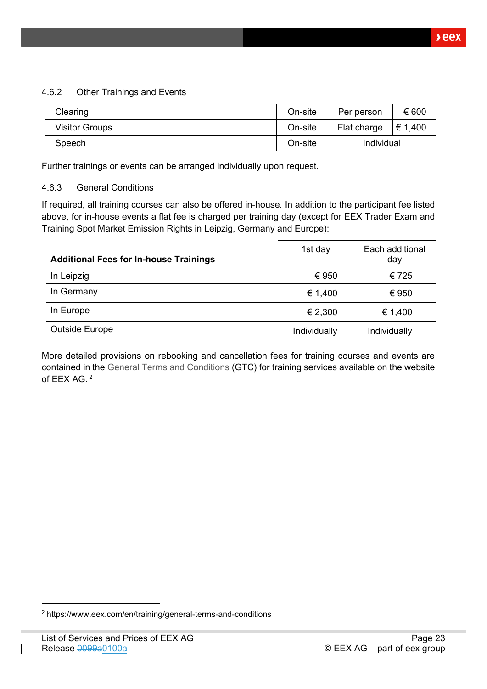### <span id="page-22-0"></span>4.6.2 Other Trainings and Events

| Clearing              | On-site | Per person  | € 600   |
|-----------------------|---------|-------------|---------|
| <b>Visitor Groups</b> | On-site | Flat charge | € 1,400 |
| Speech                | On-site | Individual  |         |

Further trainings or events can be arranged individually upon request.

### <span id="page-22-1"></span>4.6.3 General Conditions

If required, all training courses can also be offered in-house. In addition to the participant fee listed above, for in-house events a flat fee is charged per training day (except for EEX Trader Exam and Training Spot Market Emission Rights in Leipzig, Germany and Europe):

| <b>Additional Fees for In-house Trainings</b> | 1st day      | Each additional<br>day |
|-----------------------------------------------|--------------|------------------------|
| In Leipzig                                    | € 950        | €725                   |
| In Germany                                    | € 1,400      | € 950                  |
| In Europe                                     | € 2,300      | € 1,400                |
| <b>Outside Europe</b>                         | Individually | Individually           |

More detailed provisions on rebooking and cancellation fees for training courses and events are contained in the [General Terms and Conditions](https://www.eex.com/en/training/general-terms-and-conditions) (GTC) for training services available on the website of EEX AG. <sup>2</sup>

<sup>2</sup> https://www.eex.com/en/training/general-terms-and-conditions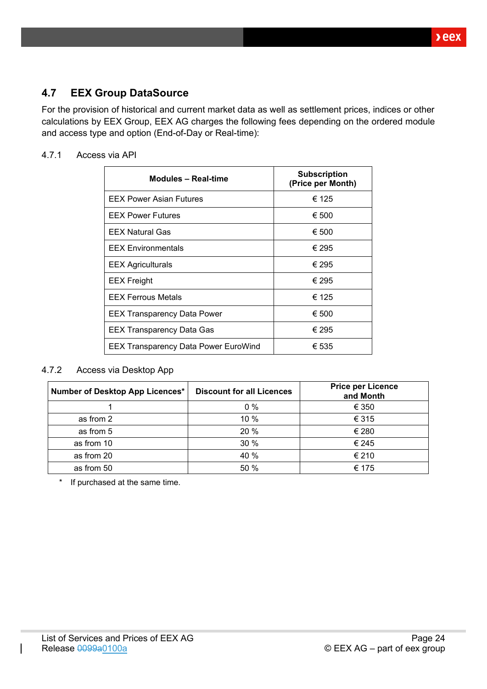# <span id="page-23-0"></span>**4.7 EEX Group DataSource**

For the provision of historical and current market data as well as settlement prices, indices or other calculations by EEX Group, EEX AG charges the following fees depending on the ordered module and access type and option (End-of-Day or Real-time):

### <span id="page-23-1"></span>4.7.1 Access via API

| <b>Modules - Real-time</b>                  | <b>Subscription</b><br>(Price per Month) |
|---------------------------------------------|------------------------------------------|
| <b>EEX Power Asian Futures</b>              | € 125                                    |
| <b>EEX Power Futures</b>                    | € 500                                    |
| <b>EEX Natural Gas</b>                      | € 500                                    |
| <b>EEX Environmentals</b>                   | € 295                                    |
| <b>EEX Agriculturals</b>                    | € 295                                    |
| <b>EEX Freight</b>                          | € 295                                    |
| <b>EEX Ferrous Metals</b>                   | € 125                                    |
| <b>EEX Transparency Data Power</b>          | € 500                                    |
| <b>EEX Transparency Data Gas</b>            | € 295                                    |
| <b>EEX Transparency Data Power EuroWind</b> | € 535                                    |

#### <span id="page-23-2"></span>4.7.2 Access via Desktop App

| Number of Desktop App Licences* | <b>Discount for all Licences</b> | <b>Price per Licence</b><br>and Month |
|---------------------------------|----------------------------------|---------------------------------------|
|                                 | $0\%$                            | € 350                                 |
| as from 2                       | 10 %                             | € 315                                 |
| as from 5                       | 20 %                             | € 280                                 |
| as from 10                      | 30 %                             | € 245                                 |
| as from 20                      | 40 %                             | € 210                                 |
| as from 50                      | 50 %                             | € 175                                 |

\* If purchased at the same time.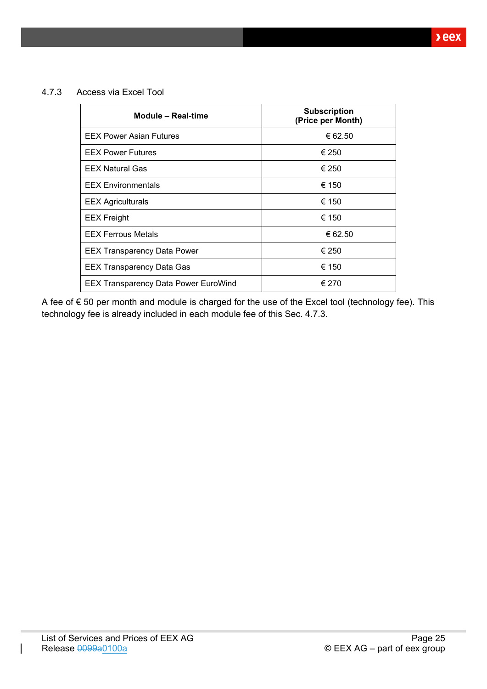<span id="page-24-0"></span>4.7.3 Access via Excel Tool

| Module - Real-time                          | <b>Subscription</b><br>(Price per Month) |
|---------------------------------------------|------------------------------------------|
| <b>EEX Power Asian Futures</b>              | € 62.50                                  |
| <b>EEX Power Futures</b>                    | € 250                                    |
| <b>EEX Natural Gas</b>                      | € 250                                    |
| <b>EEX Environmentals</b>                   | € 150                                    |
| <b>EEX Agriculturals</b>                    | € 150                                    |
| <b>EEX</b> Freight                          | € 150                                    |
| <b>EEX Ferrous Metals</b>                   | € 62.50                                  |
| <b>EEX Transparency Data Power</b>          | € 250                                    |
| <b>EEX Transparency Data Gas</b>            | € 150                                    |
| <b>EEX Transparency Data Power EuroWind</b> | € 270                                    |

A fee of € 50 per month and module is charged for the use of the Excel tool (technology fee). This technology fee is already included in each module fee of this Sec. [4.7.3.](#page-24-0)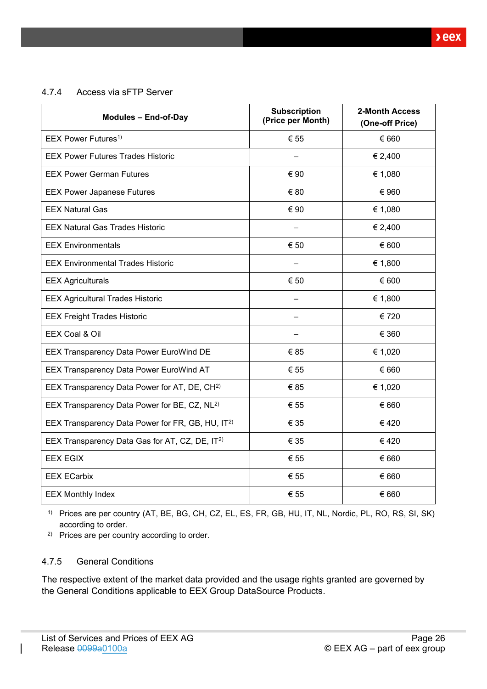<span id="page-25-0"></span>4.7.4 Access via sFTP Server

| <b>Modules - End-of-Day</b>                                  | <b>Subscription</b><br>(Price per Month) | 2-Month Access<br>(One-off Price) |
|--------------------------------------------------------------|------------------------------------------|-----------------------------------|
| EEX Power Futures <sup>1)</sup>                              | € 55                                     | € 660                             |
| <b>EEX Power Futures Trades Historic</b>                     |                                          | € 2,400                           |
| <b>EEX Power German Futures</b>                              | € 90                                     | € 1,080                           |
| <b>EEX Power Japanese Futures</b>                            | € 80                                     | € 960                             |
| <b>EEX Natural Gas</b>                                       | € 90                                     | € 1,080                           |
| <b>EEX Natural Gas Trades Historic</b>                       |                                          | € 2,400                           |
| <b>EEX Environmentals</b>                                    | € 50                                     | € 600                             |
| <b>EEX Environmental Trades Historic</b>                     |                                          | € 1,800                           |
| <b>EEX Agriculturals</b>                                     | € 50                                     | € 600                             |
| <b>EEX Agricultural Trades Historic</b>                      |                                          | € 1,800                           |
| <b>EEX Freight Trades Historic</b>                           |                                          | € 720                             |
| EEX Coal & Oil                                               |                                          | € 360                             |
| <b>EEX Transparency Data Power EuroWind DE</b>               | € 85                                     | € 1,020                           |
| EEX Transparency Data Power EuroWind AT                      | € 55                                     | € 660                             |
| EEX Transparency Data Power for AT, DE, CH <sup>2)</sup>     | € 85                                     | € 1,020                           |
| EEX Transparency Data Power for BE, CZ, NL <sup>2)</sup>     | € 55                                     | € 660                             |
| EEX Transparency Data Power for FR, GB, HU, IT <sup>2)</sup> | € 35                                     | €420                              |
| EEX Transparency Data Gas for AT, CZ, DE, IT <sup>2)</sup>   | € 35                                     | €420                              |
| <b>EEX EGIX</b>                                              | € 55                                     | € 660                             |
| <b>EEX ECarbix</b>                                           | € 55                                     | € 660                             |
| <b>EEX Monthly Index</b>                                     | € 55                                     | € 660                             |

1) Prices are per country (AT, BE, BG, CH, CZ, EL, ES, FR, GB, HU, IT, NL, Nordic, PL, RO, RS, SI, SK) according to order.

2) Prices are per country according to order.

### <span id="page-25-1"></span>4.7.5 General Conditions

The respective extent of the market data provided and the usage rights granted are governed by the General Conditions applicable to EEX Group DataSource Products.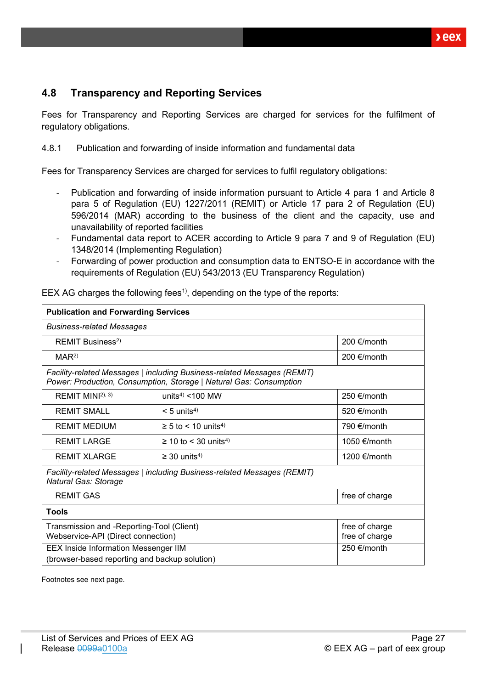# <span id="page-26-0"></span>**4.8 Transparency and Reporting Services**

Fees for Transparency and Reporting Services are charged for services for the fulfilment of regulatory obligations.

<span id="page-26-1"></span>4.8.1 Publication and forwarding of inside information and fundamental data

Fees for Transparency Services are charged for services to fulfil regulatory obligations:

- Publication and forwarding of inside information pursuant to Article 4 para 1 and Article 8 para 5 of Regulation (EU) 1227/2011 (REMIT) or Article 17 para 2 of Regulation (EU) 596/2014 (MAR) according to the business of the client and the capacity, use and unavailability of reported facilities
- Fundamental data report to ACER according to Article 9 para 7 and 9 of Regulation (EU) 1348/2014 (Implementing Regulation)
- Forwarding of power production and consumption data to ENTSO-E in accordance with the requirements of Regulation (EU) 543/2013 (EU Transparency Regulation)

| <b>Publication and Forwarding Services</b>                                                                          |                                                                                                                                               |                |
|---------------------------------------------------------------------------------------------------------------------|-----------------------------------------------------------------------------------------------------------------------------------------------|----------------|
| <b>Business-related Messages</b>                                                                                    |                                                                                                                                               |                |
| REMIT Business <sup>2)</sup>                                                                                        |                                                                                                                                               | 200 €/month    |
| MAR <sup>2</sup>                                                                                                    |                                                                                                                                               | 200 €/month    |
|                                                                                                                     | Facility-related Messages   including Business-related Messages (REMIT)<br>Power: Production, Consumption, Storage   Natural Gas: Consumption |                |
| REMIT MINI <sup>2), 3)</sup>                                                                                        | units <sup>4)</sup> <100 MW                                                                                                                   | 250 €/month    |
| <b>REMIT SMALL</b>                                                                                                  | $< 5$ units <sup>4)</sup>                                                                                                                     | 520 €/month    |
| <b>REMIT MEDIUM</b>                                                                                                 | $\geq$ 5 to < 10 units <sup>4)</sup>                                                                                                          | 790 €/month    |
| <b>REMIT LARGE</b>                                                                                                  | $\geq$ 10 to < 30 units <sup>4)</sup>                                                                                                         | 1050 €/month   |
| <b>REMIT XLARGE</b>                                                                                                 | $\geq$ 30 units <sup>4)</sup>                                                                                                                 | 1200 €/month   |
| <b>Natural Gas: Storage</b>                                                                                         | Facility-related Messages   including Business-related Messages (REMIT)                                                                       |                |
| <b>REMIT GAS</b>                                                                                                    |                                                                                                                                               | free of charge |
| Tools                                                                                                               |                                                                                                                                               |                |
| Transmission and -Reporting-Tool (Client)<br>free of charge<br>Webservice-API (Direct connection)<br>free of charge |                                                                                                                                               |                |
| <b>EEX Inside Information Messenger IIM</b>                                                                         | 250 €/month                                                                                                                                   |                |
| (browser-based reporting and backup solution)                                                                       |                                                                                                                                               |                |

EEX AG charges the following fees<sup>1</sup>, depending on the type of the reports:

Footnotes see next page.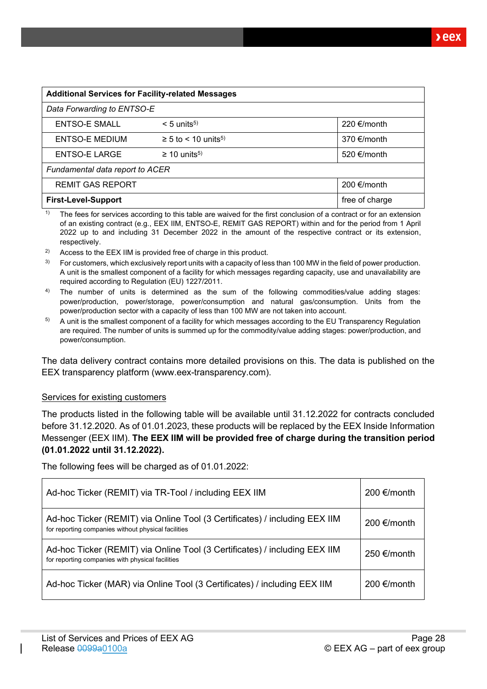| <b>Additional Services for Facility-related Messages</b> |                                      |                       |  |  |  |
|----------------------------------------------------------|--------------------------------------|-----------------------|--|--|--|
| Data Forwarding to ENTSO-E                               |                                      |                       |  |  |  |
| ENTSO-E SMALL                                            | $< 5$ units <sup>5)</sup>            | 220 €/month           |  |  |  |
| <b>ENTSO-E MEDIUM</b>                                    | $\geq$ 5 to < 10 units <sup>5)</sup> | 370 $\epsilon$ /month |  |  |  |
| ENTSO-E LARGE                                            | $\geq 10$ units <sup>5)</sup>        | 520 €/month           |  |  |  |
| Fundamental data report to ACER                          |                                      |                       |  |  |  |
| <b>REMIT GAS REPORT</b>                                  |                                      | 200 €/month           |  |  |  |
| free of charge<br><b>First-Level-Support</b>             |                                      |                       |  |  |  |

<sup>1)</sup> The fees for services according to this table are waived for the first conclusion of a contract or for an extension of an existing contract (e.g., EEX IIM, ENTSO-E, REMIT GAS REPORT) within and for the period from 1 April 2022 up to and including 31 December 2022 in the amount of the respective contract or its extension, respectively.

- $2)$  Access to the EEX IIM is provided free of charge in this product.
- For customers, which exclusively report units with a capacity of less than 100 MW in the field of power production. A unit is the smallest component of a facility for which messages regarding capacity, use and unavailability are required according to Regulation (EU) 1227/2011.
- <sup>4)</sup> The number of units is determined as the sum of the following commodities/value adding stages: power/production, power/storage, power/consumption and natural gas/consumption. Units from the power/production sector with a capacity of less than 100 MW are not taken into account.
- $5$  A unit is the smallest component of a facility for which messages according to the EU Transparency Regulation are required. The number of units is summed up for the commodity/value adding stages: power/production, and power/consumption.

The data delivery contract contains more detailed provisions on this. The data is published on the EEX transparency platform [\(www.eex-transparency.com\)](http://www.eex-transparency.com/).

#### Services for existing customers

The products listed in the following table will be available until 31.12.2022 for contracts concluded before 31.12.2020. As of 01.01.2023, these products will be replaced by the EEX Inside Information Messenger (EEX IIM). **The EEX IIM will be provided free of charge during the transition period (01.01.2022 until 31.12.2022).**

The following fees will be charged as of 01.01.2022:

| Ad-hoc Ticker (REMIT) via TR-Tool / including EEX IIM                                                                             | 200 €/month |
|-----------------------------------------------------------------------------------------------------------------------------------|-------------|
| Ad-hoc Ticker (REMIT) via Online Tool (3 Certificates) / including EEX IIM<br>for reporting companies without physical facilities | 200 €/month |
| Ad-hoc Ticker (REMIT) via Online Tool (3 Certificates) / including EEX IIM<br>for reporting companies with physical facilities    | 250 €/month |
| Ad-hoc Ticker (MAR) via Online Tool (3 Certificates) / including EEX IIM                                                          | 200 €/month |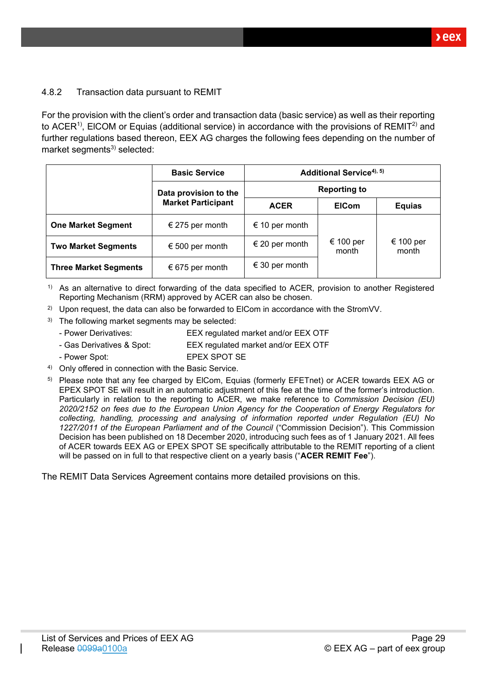### <span id="page-28-0"></span>4.8.2 Transaction data pursuant to REMIT

For the provision with the client's order and transaction data (basic service) as well as their reporting to ACER<sup>1)</sup>, EICOM or Equias (additional service) in accordance with the provisions of REMIT<sup>2)</sup> and further regulations based thereon, EEX AG charges the following fees depending on the number of market segments $3)$  selected:

|                              | <b>Basic Service</b>      | Additional Service <sup>4), 5)</sup> |                    |                    |
|------------------------------|---------------------------|--------------------------------------|--------------------|--------------------|
|                              | Data provision to the     | <b>Reporting to</b>                  |                    |                    |
|                              | <b>Market Participant</b> | <b>ACER</b>                          | <b>EICom</b>       | <b>Equias</b>      |
| <b>One Market Segment</b>    | € 275 per month           | € 10 per month                       |                    |                    |
| <b>Two Market Segments</b>   | € 500 per month           | € 20 per month                       | € 100 per<br>month | € 100 per<br>month |
| <b>Three Market Segments</b> | € 675 per month           | € 30 per month                       |                    |                    |

1) As an alternative to direct forwarding of the data specified to ACER, provision to another Registered Reporting Mechanism (RRM) approved by ACER can also be chosen.

- <sup>2)</sup> Upon request, the data can also be forwarded to ElCom in accordance with the StromVV.
- $3)$  The following market segments may be selected:
	- Power Derivatives: EEX regulated market and/or EEX OTF
	- Gas Derivatives & Spot: EEX regulated market and/or EEX OTF
	- Power Spot: EPEX SPOT SE
- 4) Only offered in connection with the Basic Service.
- <sup>5)</sup> Please note that any fee charged by ElCom, Equias (formerly EFETnet) or ACER towards EEX AG or EPEX SPOT SE will result in an automatic adjustment of this fee at the time of the former's introduction. Particularly in relation to the reporting to ACER, we make reference to *Commission Decision (EU) 2020/2152 on fees due to the European Union Agency for the Cooperation of Energy Regulators for collecting, handling, processing and analysing of information reported under Regulation (EU) No 1227/2011 of the European Parliament and of the Council* ("Commission Decision"). This Commission Decision has been published on 18 December 2020, introducing such fees as of 1 January 2021. All fees of ACER towards EEX AG or EPEX SPOT SE specifically attributable to the REMIT reporting of a client will be passed on in full to that respective client on a yearly basis ("**ACER REMIT Fee**").

The REMIT Data Services Agreement contains more detailed provisions on this.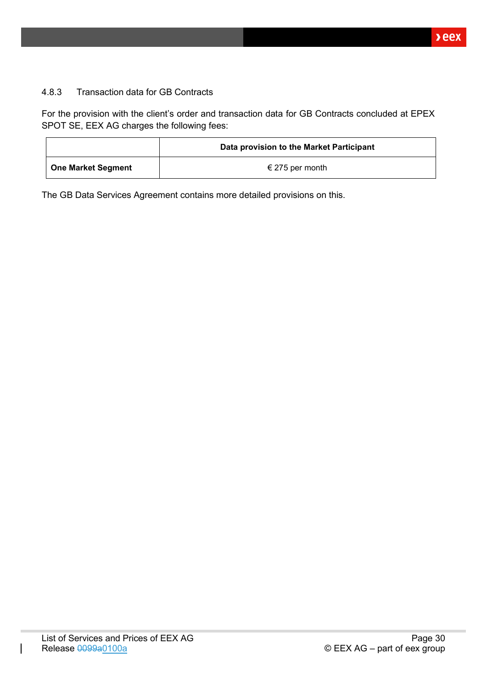### <span id="page-29-0"></span>4.8.3 Transaction data for GB Contracts

For the provision with the client's order and transaction data for GB Contracts concluded at EPEX SPOT SE, EEX AG charges the following fees:

|                    | Data provision to the Market Participant |
|--------------------|------------------------------------------|
| One Market Segment | € 275 per month                          |

The GB Data Services Agreement contains more detailed provisions on this.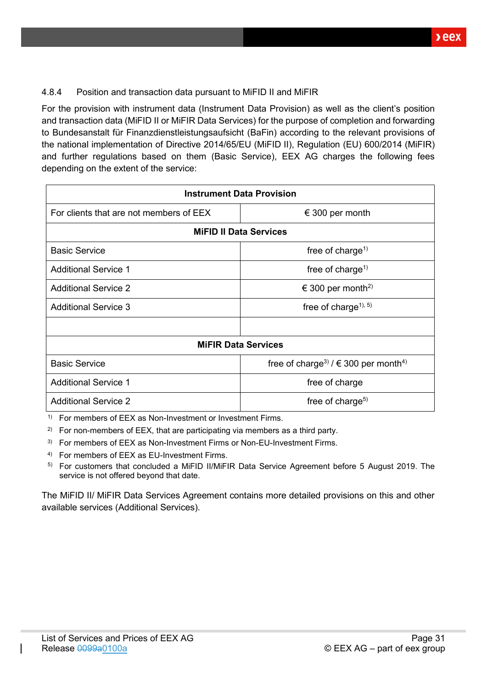### <span id="page-30-0"></span>4.8.4 Position and transaction data pursuant to MiFID II and MiFIR

For the provision with instrument data (Instrument Data Provision) as well as the client's position and transaction data (MiFID II or MiFIR Data Services) for the purpose of completion and forwarding to Bundesanstalt für Finanzdienstleistungsaufsicht (BaFin) according to the relevant provisions of the national implementation of Directive 2014/65/EU (MiFID II), Regulation (EU) 600/2014 (MiFIR) and further regulations based on them (Basic Service), EEX AG charges the following fees depending on the extent of the service:

| <b>Instrument Data Provision</b>        |                                                                  |  |  |
|-----------------------------------------|------------------------------------------------------------------|--|--|
| For clients that are not members of EEX | € 300 per month                                                  |  |  |
| <b>MiFID II Data Services</b>           |                                                                  |  |  |
| <b>Basic Service</b>                    | free of charge <sup>1)</sup>                                     |  |  |
| <b>Additional Service 1</b>             | free of charge <sup>1)</sup>                                     |  |  |
| <b>Additional Service 2</b>             | € 300 per month <sup>2)</sup>                                    |  |  |
| <b>Additional Service 3</b>             | free of charge <sup><math>1</math>, 5)</sup>                     |  |  |
|                                         |                                                                  |  |  |
|                                         | <b>MIFIR Data Services</b>                                       |  |  |
| <b>Basic Service</b>                    | free of charge <sup>3)</sup> / $\in$ 300 per month <sup>4)</sup> |  |  |
| <b>Additional Service 1</b>             | free of charge                                                   |  |  |
| <b>Additional Service 2</b>             | free of charge <sup>5)</sup>                                     |  |  |

<sup>1)</sup> For members of EEX as Non-Investment or Investment Firms.

<sup>2)</sup> For non-members of EEX, that are participating via members as a third party.

<sup>3)</sup> For members of EEX as Non-Investment Firms or Non-EU-Investment Firms.

4) For members of EEX as EU-Investment Firms.

5) For customers that concluded a MiFID II/MiFIR Data Service Agreement before 5 August 2019. The service is not offered beyond that date.

The MiFID II/ MiFIR Data Services Agreement contains more detailed provisions on this and other available services (Additional Services).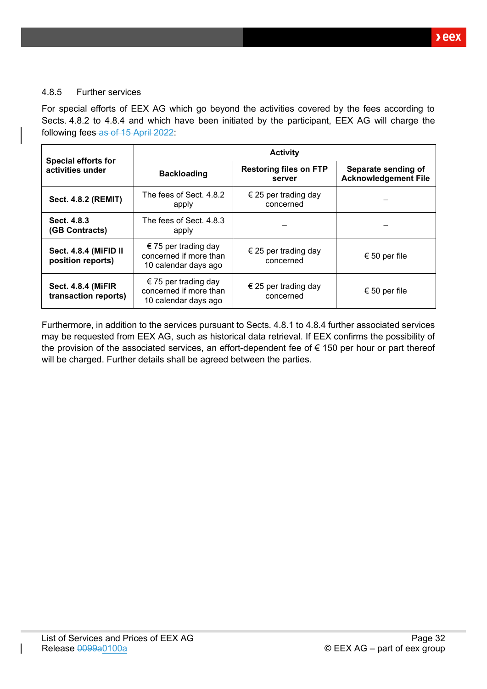### <span id="page-31-0"></span>4.8.5 Further services

For special efforts of EEX AG which go beyond the activities covered by the fees according to Sects. [4.8.2](#page-28-0) to [4.8.4](#page-30-0) and which have been initiated by the participant, EEX AG will charge the following fees as of 15 April 2022:

|                                                   | <b>Activity</b>                                                        |                                         |                                                    |  |  |
|---------------------------------------------------|------------------------------------------------------------------------|-----------------------------------------|----------------------------------------------------|--|--|
| <b>Special efforts for</b><br>activities under    | <b>Backloading</b>                                                     | <b>Restoring files on FTP</b><br>server | Separate sending of<br><b>Acknowledgement File</b> |  |  |
| <b>Sect. 4.8.2 (REMIT)</b>                        | The fees of Sect. 4.8.2<br>apply                                       | € 25 per trading day<br>concerned       |                                                    |  |  |
| Sect. 4.8.3<br>(GB Contracts)                     | The fees of Sect. 4.8.3<br>apply                                       |                                         |                                                    |  |  |
| Sect. 4.8.4 (MiFID II<br>position reports)        | € 75 per trading day<br>concerned if more than<br>10 calendar days ago | € 25 per trading day<br>concerned       | € 50 per file                                      |  |  |
| <b>Sect. 4.8.4 (MiFIR</b><br>transaction reports) | € 75 per trading day<br>concerned if more than<br>10 calendar days ago | € 25 per trading day<br>concerned       | € 50 per file                                      |  |  |

Furthermore, in addition to the services pursuant to Sects. [4.8.1](#page-26-1) to [4.8.4](#page-30-0) further associated services may be requested from EEX AG, such as historical data retrieval. If EEX confirms the possibility of the provision of the associated services, an effort-dependent fee of € 150 per hour or part thereof will be charged. Further details shall be agreed between the parties.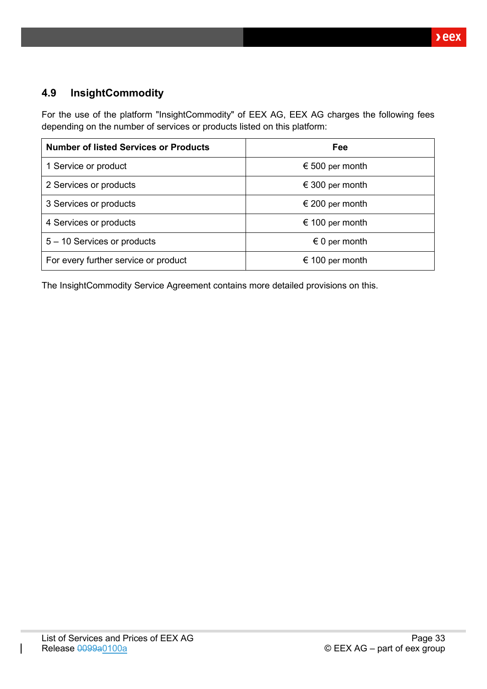# <span id="page-32-0"></span>**4.9 InsightCommodity**

For the use of the platform "InsightCommodity" of EEX AG, EEX AG charges the following fees depending on the number of services or products listed on this platform:

| <b>Number of listed Services or Products</b> | Fee                    |
|----------------------------------------------|------------------------|
| 1 Service or product                         | € 500 per month        |
| 2 Services or products                       | € 300 per month        |
| 3 Services or products                       | € 200 per month        |
| 4 Services or products                       | € 100 per month        |
| 5 - 10 Services or products                  | $\epsilon$ 0 per month |
| For every further service or product         | € 100 per month        |

The InsightCommodity Service Agreement contains more detailed provisions on this.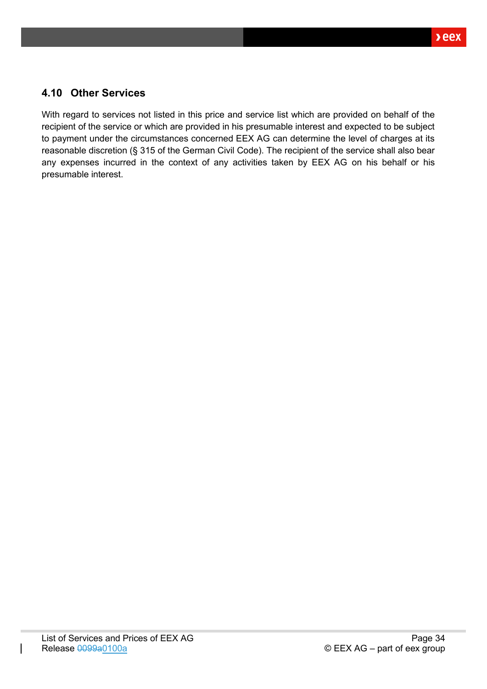# <span id="page-33-0"></span>**4.10 Other Services**

With regard to services not listed in this price and service list which are provided on behalf of the recipient of the service or which are provided in his presumable interest and expected to be subject to payment under the circumstances concerned EEX AG can determine the level of charges at its reasonable discretion (§ 315 of the German Civil Code). The recipient of the service shall also bear any expenses incurred in the context of any activities taken by EEX AG on his behalf or his presumable interest.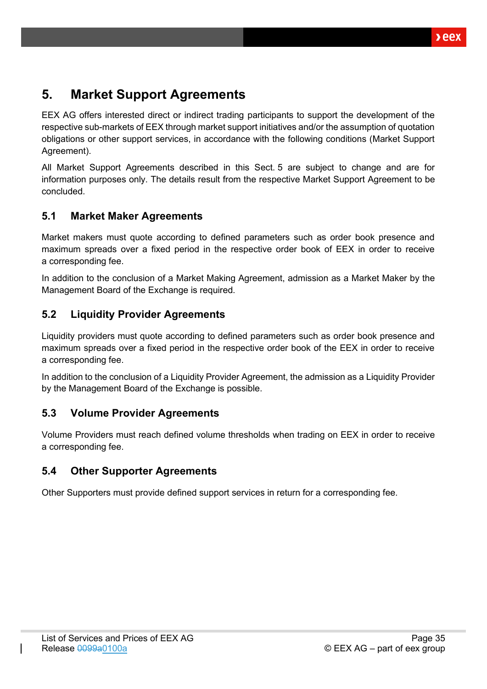# <span id="page-34-0"></span>**5. Market Support Agreements**

EEX AG offers interested direct or indirect trading participants to support the development of the respective sub-markets of EEX through market support initiatives and/or the assumption of quotation obligations or other support services, in accordance with the following conditions (Market Support Agreement).

All Market Support Agreements described in this Sect. [5](#page-34-0) are subject to change and are for information purposes only. The details result from the respective Market Support Agreement to be concluded.

# <span id="page-34-1"></span>**5.1 Market Maker Agreements**

Market makers must quote according to defined parameters such as order book presence and maximum spreads over a fixed period in the respective order book of EEX in order to receive a corresponding fee.

In addition to the conclusion of a Market Making Agreement, admission as a Market Maker by the Management Board of the Exchange is required.

# <span id="page-34-2"></span>**5.2 Liquidity Provider Agreements**

Liquidity providers must quote according to defined parameters such as order book presence and maximum spreads over a fixed period in the respective order book of the EEX in order to receive a corresponding fee.

In addition to the conclusion of a Liquidity Provider Agreement, the admission as a Liquidity Provider by the Management Board of the Exchange is possible.

# <span id="page-34-3"></span>**5.3 Volume Provider Agreements**

Volume Providers must reach defined volume thresholds when trading on EEX in order to receive a corresponding fee.

# <span id="page-34-4"></span>**5.4 Other Supporter Agreements**

Other Supporters must provide defined support services in return for a corresponding fee.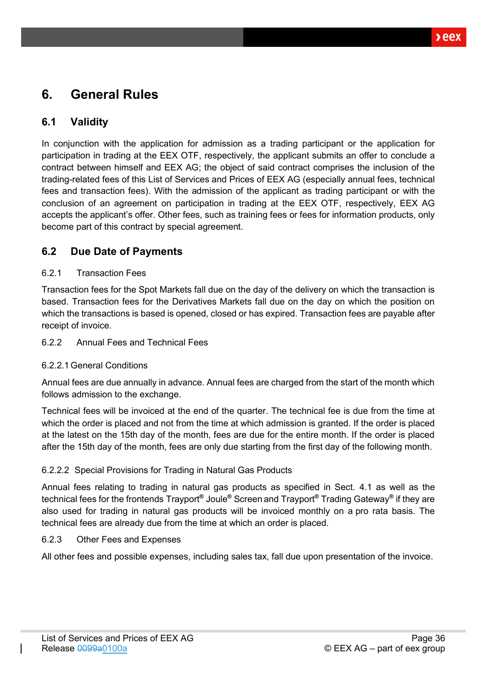# <span id="page-35-0"></span>**6. General Rules**

# <span id="page-35-1"></span>**6.1 Validity**

In conjunction with the application for admission as a trading participant or the application for participation in trading at the EEX OTF, respectively, the applicant submits an offer to conclude a contract between himself and EEX AG; the object of said contract comprises the inclusion of the trading-related fees of this List of Services and Prices of EEX AG (especially annual fees, technical fees and transaction fees). With the admission of the applicant as trading participant or with the conclusion of an agreement on participation in trading at the EEX OTF, respectively, EEX AG accepts the applicant's offer. Other fees, such as training fees or fees for information products, only become part of this contract by special agreement.

# <span id="page-35-2"></span>**6.2 Due Date of Payments**

### <span id="page-35-3"></span>6.2.1 Transaction Fees

Transaction fees for the Spot Markets fall due on the day of the delivery on which the transaction is based. Transaction fees for the Derivatives Markets fall due on the day on which the position on which the transactions is based is opened, closed or has expired. Transaction fees are payable after receipt of invoice.

#### <span id="page-35-4"></span>6.2.2 Annual Fees and Technical Fees

### <span id="page-35-5"></span>6.2.2.1General Conditions

Annual fees are due annually in advance. Annual fees are charged from the start of the month which follows admission to the exchange.

Technical fees will be invoiced at the end of the quarter. The technical fee is due from the time at which the order is placed and not from the time at which admission is granted. If the order is placed at the latest on the 15th day of the month, fees are due for the entire month. If the order is placed after the 15th day of the month, fees are only due starting from the first day of the following month.

### <span id="page-35-6"></span>6.2.2.2 Special Provisions for Trading in Natural Gas Products

Annual fees relating to trading in natural gas products as specified in Sect. [4.1](#page-14-1) as well as the technical fees for the frontends Trayport**®** Joule**®** Screen and Trayport**®** Trading Gateway**®** if they are also used for trading in natural gas products will be invoiced monthly on a pro rata basis. The technical fees are already due from the time at which an order is placed.

#### <span id="page-35-7"></span>6.2.3 Other Fees and Expenses

All other fees and possible expenses, including sales tax, fall due upon presentation of the invoice.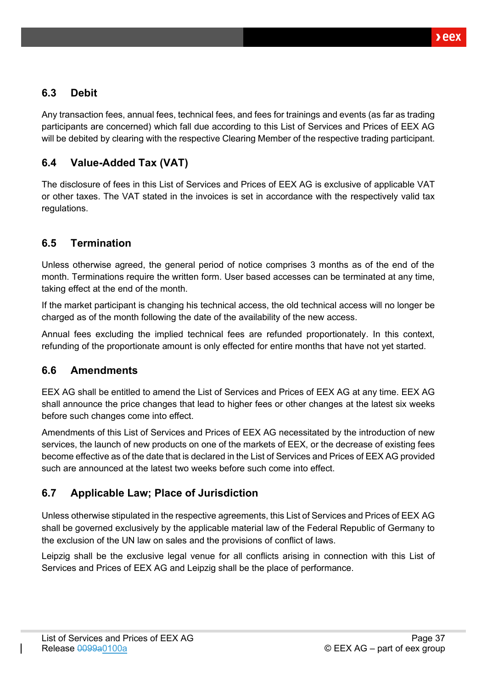# <span id="page-36-0"></span>**6.3 Debit**

Any transaction fees, annual fees, technical fees, and fees for trainings and events (as far as trading participants are concerned) which fall due according to this List of Services and Prices of EEX AG will be debited by clearing with the respective Clearing Member of the respective trading participant.

# <span id="page-36-1"></span>**6.4 Value-Added Tax (VAT)**

The disclosure of fees in this List of Services and Prices of EEX AG is exclusive of applicable VAT or other taxes. The VAT stated in the invoices is set in accordance with the respectively valid tax regulations.

# <span id="page-36-2"></span>**6.5 Termination**

Unless otherwise agreed, the general period of notice comprises 3 months as of the end of the month. Terminations require the written form. User based accesses can be terminated at any time, taking effect at the end of the month.

If the market participant is changing his technical access, the old technical access will no longer be charged as of the month following the date of the availability of the new access.

Annual fees excluding the implied technical fees are refunded proportionately. In this context, refunding of the proportionate amount is only effected for entire months that have not yet started.

# <span id="page-36-3"></span>**6.6 Amendments**

EEX AG shall be entitled to amend the List of Services and Prices of EEX AG at any time. EEX AG shall announce the price changes that lead to higher fees or other changes at the latest six weeks before such changes come into effect.

Amendments of this List of Services and Prices of EEX AG necessitated by the introduction of new services, the launch of new products on one of the markets of EEX, or the decrease of existing fees become effective as of the date that is declared in the List of Services and Prices of EEX AG provided such are announced at the latest two weeks before such come into effect.

# <span id="page-36-4"></span>**6.7 Applicable Law; Place of Jurisdiction**

Unless otherwise stipulated in the respective agreements, this List of Services and Prices of EEX AG shall be governed exclusively by the applicable material law of the Federal Republic of Germany to the exclusion of the UN law on sales and the provisions of conflict of laws.

Leipzig shall be the exclusive legal venue for all conflicts arising in connection with this List of Services and Prices of EEX AG and Leipzig shall be the place of performance.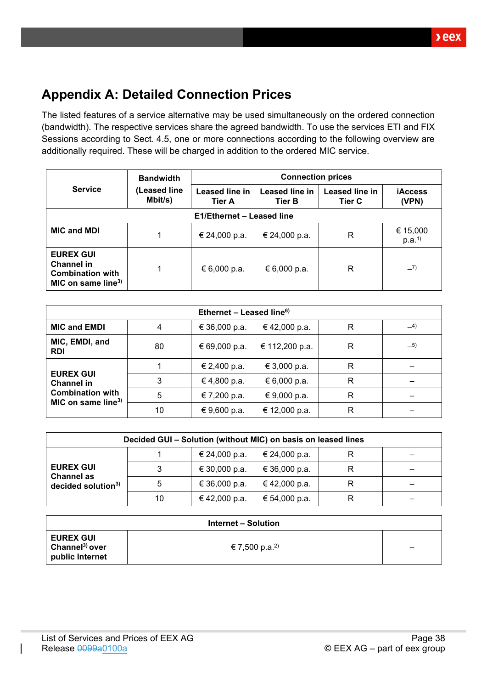# <span id="page-37-0"></span>**Appendix A: Detailed Connection Prices**

The listed features of a service alternative may be used simultaneously on the ordered connection (bandwidth). The respective services share the agreed bandwidth. To use the services ETI and FIX Sessions according to Sect. [4.5,](#page-20-0) one or more connections according to the following overview are additionally required. These will be charged in addition to the ordered MIC service.

|                                                                                                    | <b>Bandwidth</b>        | <b>Connection prices</b>        |                                 |                                 |                               |
|----------------------------------------------------------------------------------------------------|-------------------------|---------------------------------|---------------------------------|---------------------------------|-------------------------------|
| <b>Service</b>                                                                                     | (Leased line<br>Mbit/s) | Leased line in<br><b>Tier A</b> | Leased line in<br><b>Tier B</b> | Leased line in<br><b>Tier C</b> | <b>iAccess</b><br>(VPN)       |
|                                                                                                    |                         | E1/Ethernet - Leased line       |                                 |                                 |                               |
| <b>MIC and MDI</b>                                                                                 | 1                       | € 24,000 p.a.                   | € 24,000 p.a.                   | R                               | € 15,000<br>p.a. <sup>1</sup> |
| <b>EUREX GUI</b><br><b>Channel in</b><br><b>Combination with</b><br>MIC on same line <sup>3)</sup> | 1                       | € 6,000 p.a.                    | € 6,000 p.a.                    | R                               | $-7)$                         |

| Ethernet - Leased line <sup>6)</sup>                      |    |               |                |   |       |
|-----------------------------------------------------------|----|---------------|----------------|---|-------|
| <b>MIC and EMDI</b>                                       | 4  | € 36,000 p.a. | €42,000 p.a.   | R | $-4)$ |
| MIC, EMDI, and<br><b>RDI</b>                              | 80 | € 69,000 p.a. | € 112,200 p.a. | R | $-5)$ |
|                                                           |    | € 2,400 p.a.  | € 3,000 p.a.   | R |       |
| <b>EUREX GUI</b><br><b>Channel in</b>                     | 3  | € 4,800 p.a.  | € 6,000 p.a.   | R |       |
| <b>Combination with</b><br>MIC on same line <sup>3)</sup> | 5  | € 7,200 p.a.  | € 9,000 p.a.   | R |       |
|                                                           | 10 | € 9,600 p.a.  | € 12,000 p.a.  | R |       |

| Decided GUI - Solution (without MIC) on basis on leased lines           |    |               |               |   |  |
|-------------------------------------------------------------------------|----|---------------|---------------|---|--|
| <b>EUREX GUI</b><br><b>Channel as</b><br>decided solution <sup>3)</sup> |    | € 24,000 p.a. | € 24,000 p.a. |   |  |
|                                                                         |    | € 30,000 p.a. | € 36,000 p.a. | R |  |
|                                                                         |    | € 36,000 p.a. | €42,000 p.a.  | R |  |
|                                                                         | 10 | € 42,000 p.a. | € 54,000 p.a. | R |  |

| Internet – Solution                                               |                            |   |  |  |
|-------------------------------------------------------------------|----------------------------|---|--|--|
| <b>EUREX GUI</b><br>Channel <sup>3)</sup> over<br>public Internet | € 7,500 p.a. <sup>2)</sup> | - |  |  |